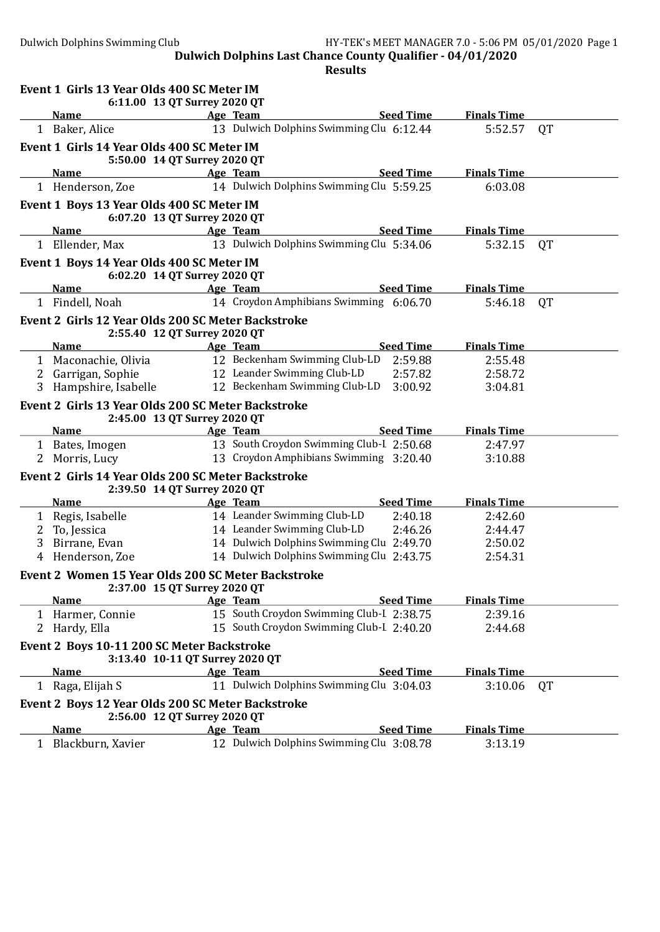|   | Event 1 Girls 13 Year Olds 400 SC Meter IM<br>6:11.00 13 QT Surrey 2020 QT         |                                          |                  |                    |           |
|---|------------------------------------------------------------------------------------|------------------------------------------|------------------|--------------------|-----------|
|   | <b>Name</b>                                                                        | Age Team                                 | <b>Seed Time</b> | <b>Finals Time</b> |           |
|   | 1 Baker, Alice                                                                     | 13 Dulwich Dolphins Swimming Clu 6:12.44 |                  | 5:52.57            | <b>QT</b> |
|   | Event 1 Girls 14 Year Olds 400 SC Meter IM<br>5:50.00 14 QT Surrey 2020 QT         |                                          |                  |                    |           |
|   | <b>Name</b>                                                                        | Age Team                                 | <b>Seed Time</b> | <b>Finals Time</b> |           |
|   | 1 Henderson, Zoe                                                                   | 14 Dulwich Dolphins Swimming Clu 5:59.25 |                  | 6:03.08            |           |
|   | Event 1 Boys 13 Year Olds 400 SC Meter IM<br>6:07.20 13 QT Surrey 2020 QT          |                                          |                  |                    |           |
|   | <b>Name</b>                                                                        | Age Team                                 | <b>Seed Time</b> | <b>Finals Time</b> |           |
|   | 1 Ellender, Max                                                                    | 13 Dulwich Dolphins Swimming Clu 5:34.06 |                  | 5:32.15            | QT        |
|   | Event 1 Boys 14 Year Olds 400 SC Meter IM<br>6:02.20 14 QT Surrey 2020 QT          |                                          |                  |                    |           |
|   | <b>Name</b>                                                                        | Age Team                                 | <b>Seed Time</b> | <b>Finals Time</b> |           |
|   | 1 Findell, Noah                                                                    | 14 Croydon Amphibians Swimming 6:06.70   |                  | 5:46.18            | <b>QT</b> |
|   | Event 2 Girls 12 Year Olds 200 SC Meter Backstroke<br>2:55.40 12 QT Surrey 2020 QT |                                          |                  |                    |           |
|   | <b>Name</b>                                                                        | Age Team                                 | <b>Seed Time</b> | <b>Finals Time</b> |           |
|   | 1 Maconachie, Olivia                                                               | 12 Beckenham Swimming Club-LD            | 2:59.88          | 2:55.48            |           |
|   | 2 Garrigan, Sophie                                                                 | 12 Leander Swimming Club-LD              | 2:57.82          | 2:58.72            |           |
|   | 3 Hampshire, Isabelle                                                              | 12 Beckenham Swimming Club-LD            | 3:00.92          | 3:04.81            |           |
|   | Event 2 Girls 13 Year Olds 200 SC Meter Backstroke<br>2:45.00 13 QT Surrey 2020 QT |                                          |                  |                    |           |
|   | <b>Name</b>                                                                        | Age Team                                 | <b>Seed Time</b> | <b>Finals Time</b> |           |
|   | 1 Bates, Imogen                                                                    | 13 South Croydon Swimming Club-I 2:50.68 |                  | 2:47.97            |           |
|   | 2 Morris, Lucy                                                                     | 13 Croydon Amphibians Swimming 3:20.40   |                  | 3:10.88            |           |
|   | Event 2 Girls 14 Year Olds 200 SC Meter Backstroke<br>2:39.50 14 QT Surrey 2020 QT |                                          |                  |                    |           |
|   | <b>Name</b>                                                                        | Age Team                                 | <b>Seed Time</b> | <b>Finals Time</b> |           |
|   | 1 Regis, Isabelle                                                                  | 14 Leander Swimming Club-LD              | 2:40.18          | 2:42.60            |           |
|   | 2 To, Jessica                                                                      | 14 Leander Swimming Club-LD              | 2:46.26          | 2:44.47            |           |
| 3 | Birrane, Evan                                                                      | 14 Dulwich Dolphins Swimming Clu 2:49.70 |                  | 2:50.02            |           |
|   | 4 Henderson, Zoe                                                                   | 14 Dulwich Dolphins Swimming Clu 2:43.75 |                  | 2:54.31            |           |
|   | Event 2 Women 15 Year Olds 200 SC Meter Backstroke<br>2:37.00 15 QT Surrey 2020 QT |                                          |                  |                    |           |
|   | <b>Name</b>                                                                        | Age Team                                 | <b>Seed Time</b> | <b>Finals Time</b> |           |
|   | 1 Harmer, Connie                                                                   | 15 South Croydon Swimming Club-I 2:38.75 |                  | 2:39.16            |           |
|   | 2 Hardy, Ella                                                                      | 15 South Croydon Swimming Club-I 2:40.20 |                  | 2:44.68            |           |
|   | Event 2 Boys 10-11 200 SC Meter Backstroke<br>3:13.40 10-11 QT Surrey 2020 QT      |                                          |                  |                    |           |
|   | <b>Name</b>                                                                        | Age Team                                 | <b>Seed Time</b> | <b>Finals Time</b> |           |
|   | 1 Raga, Elijah S                                                                   | 11 Dulwich Dolphins Swimming Clu 3:04.03 |                  | 3:10.06            | <b>QT</b> |
|   | Event 2 Boys 12 Year Olds 200 SC Meter Backstroke<br>2:56.00 12 QT Surrey 2020 QT  |                                          |                  |                    |           |
|   | <b>Name</b>                                                                        | Age Team                                 | <b>Seed Time</b> | <b>Finals Time</b> |           |
|   | 1 Blackburn, Xavier                                                                | 12 Dulwich Dolphins Swimming Clu 3:08.78 |                  | 3:13.19            |           |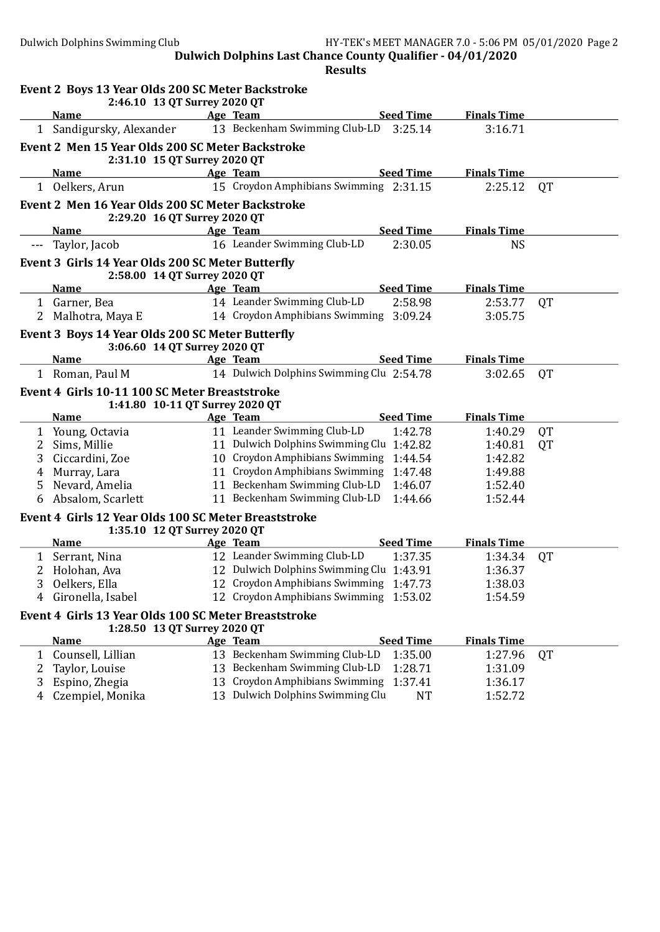|   | Event 2 Boys 13 Year Olds 200 SC Meter Backstroke<br>2:46.10 13 QT Surrey 2020 QT    |                                          |                  |                    |           |
|---|--------------------------------------------------------------------------------------|------------------------------------------|------------------|--------------------|-----------|
|   | <b>Name</b>                                                                          | Age Team                                 | <b>Seed Time</b> | <b>Finals Time</b> |           |
|   | 1 Sandigursky, Alexander                                                             | 13 Beckenham Swimming Club-LD 3:25.14    |                  | 3:16.71            |           |
|   | Event 2 Men 15 Year Olds 200 SC Meter Backstroke<br>2:31.10 15 QT Surrey 2020 QT     |                                          |                  |                    |           |
|   | <b>Name</b>                                                                          | Age Team                                 | <b>Seed Time</b> | <b>Finals Time</b> |           |
|   | 1 Oelkers, Arun                                                                      | 15 Croydon Amphibians Swimming 2:31.15   |                  | 2:25.12            | <b>QT</b> |
|   | Event 2 Men 16 Year Olds 200 SC Meter Backstroke<br>2:29.20 16 QT Surrey 2020 QT     |                                          |                  |                    |           |
|   | Name                                                                                 | Age Team                                 | <b>Seed Time</b> | <b>Finals Time</b> |           |
|   | --- Taylor, Jacob                                                                    | 16 Leander Swimming Club-LD              | 2:30.05          | <b>NS</b>          |           |
|   | Event 3 Girls 14 Year Olds 200 SC Meter Butterfly<br>2:58.00 14 QT Surrey 2020 QT    |                                          |                  |                    |           |
|   | <b>Name</b>                                                                          | Age Team                                 | <b>Seed Time</b> | <b>Finals Time</b> |           |
|   | 1 Garner, Bea                                                                        | 14 Leander Swimming Club-LD              | 2:58.98          | 2:53.77            | <b>QT</b> |
| 2 | Malhotra, Maya E                                                                     | 14 Croydon Amphibians Swimming 3:09.24   |                  | 3:05.75            |           |
|   | Event 3 Boys 14 Year Olds 200 SC Meter Butterfly<br>3:06.60 14 QT Surrey 2020 QT     |                                          |                  |                    |           |
|   | <b>Name</b>                                                                          | Age Team                                 | <b>Seed Time</b> | <b>Finals Time</b> |           |
|   | 1 Roman, Paul M                                                                      | 14 Dulwich Dolphins Swimming Clu 2:54.78 |                  | 3:02.65            | QT        |
|   | Event 4 Girls 10-11 100 SC Meter Breaststroke<br>1:41.80 10-11 QT Surrey 2020 QT     |                                          |                  |                    |           |
|   | <b>Name</b>                                                                          | Age Team                                 | <b>Seed Time</b> | <b>Finals Time</b> |           |
|   | 1 Young, Octavia                                                                     | 11 Leander Swimming Club-LD              | 1:42.78          | 1:40.29            | QT        |
| 2 | Sims, Millie                                                                         | 11 Dulwich Dolphins Swimming Clu 1:42.82 |                  | 1:40.81            | <b>QT</b> |
| 3 | Ciccardini, Zoe                                                                      | 10 Croydon Amphibians Swimming 1:44.54   |                  | 1:42.82            |           |
| 4 | Murray, Lara                                                                         | 11 Croydon Amphibians Swimming 1:47.48   |                  | 1:49.88            |           |
| 5 | Nevard, Amelia                                                                       | 11 Beckenham Swimming Club-LD            | 1:46.07          | 1:52.40            |           |
|   | 6 Absalom, Scarlett                                                                  | 11 Beckenham Swimming Club-LD            | 1:44.66          | 1:52.44            |           |
|   | Event 4 Girls 12 Year Olds 100 SC Meter Breaststroke<br>1:35.10 12 QT Surrey 2020 QT |                                          |                  |                    |           |
|   | <b>Name</b>                                                                          | Age Team                                 | <b>Seed Time</b> | <b>Finals Time</b> |           |
| 1 | Serrant, Nina                                                                        | 12 Leander Swimming Club-LD              | 1:37.35          | 1:34.34            | QT        |
| 2 | Holohan, Ava                                                                         | 12 Dulwich Dolphins Swimming Clu 1:43.91 |                  | 1:36.37            |           |
| 3 | Oelkers, Ella                                                                        | 12 Croydon Amphibians Swimming 1:47.73   |                  | 1:38.03            |           |
| 4 | Gironella, Isabel                                                                    | 12 Croydon Amphibians Swimming 1:53.02   |                  | 1:54.59            |           |
|   | Event 4 Girls 13 Year Olds 100 SC Meter Breaststroke<br>1:28.50 13 QT Surrey 2020 QT |                                          |                  |                    |           |
|   | <b>Name</b>                                                                          | Age Team                                 | <b>Seed Time</b> | <b>Finals Time</b> |           |
| 1 | Counsell, Lillian                                                                    | 13 Beckenham Swimming Club-LD            | 1:35.00          | 1:27.96            | QT        |
| 2 | Taylor, Louise                                                                       | 13 Beckenham Swimming Club-LD            | 1:28.71          | 1:31.09            |           |
| 3 | Espino, Zhegia                                                                       | 13 Croydon Amphibians Swimming           | 1:37.41          | 1:36.17            |           |
| 4 | Czempiel, Monika                                                                     | 13 Dulwich Dolphins Swimming Clu         | <b>NT</b>        | 1:52.72            |           |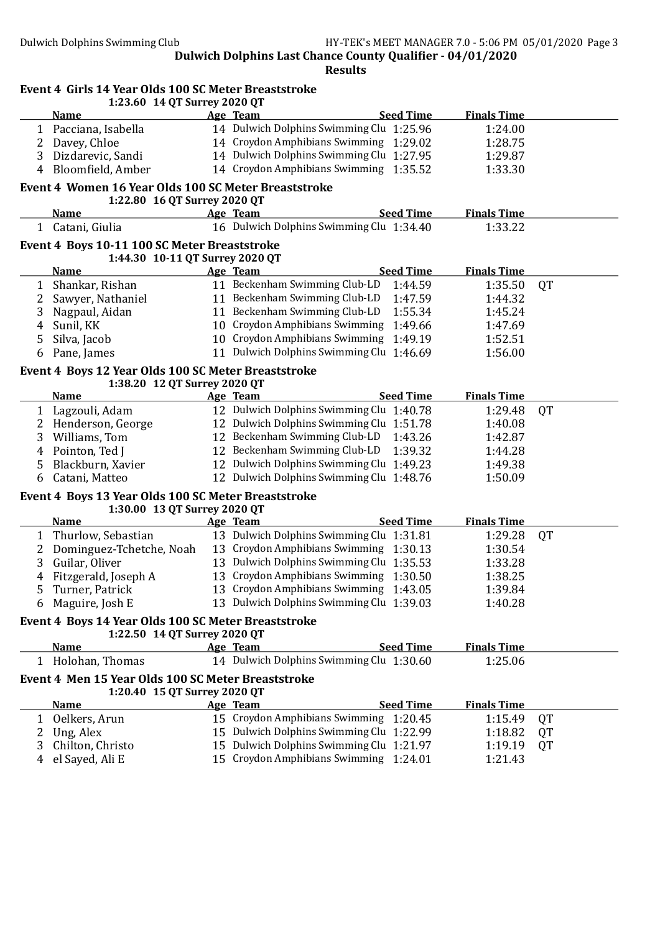|                | Event 4 Girls 14 Year Olds 100 SC Meter Breaststroke<br>1:23.60 14 QT Surrey 2020 QT |                                           |                    |           |
|----------------|--------------------------------------------------------------------------------------|-------------------------------------------|--------------------|-----------|
|                | <b>Name</b>                                                                          | <b>Seed Time</b><br>Age Team              | <b>Finals Time</b> |           |
|                | 1 Pacciana, Isabella                                                                 | 14 Dulwich Dolphins Swimming Clu 1:25.96  | 1:24.00            |           |
| 2              | Davey, Chloe                                                                         | 14 Croydon Amphibians Swimming 1:29.02    | 1:28.75            |           |
| 3              | Dizdarevic, Sandi                                                                    | 14 Dulwich Dolphins Swimming Clu 1:27.95  | 1:29.87            |           |
| $\overline{4}$ | Bloomfield, Amber                                                                    | 14 Croydon Amphibians Swimming 1:35.52    | 1:33.30            |           |
|                | Event 4 Women 16 Year Olds 100 SC Meter Breaststroke<br>1:22.80 16 QT Surrey 2020 QT |                                           |                    |           |
|                | <b>Name</b>                                                                          | <b>Seed Time</b><br>Age Team              | <b>Finals Time</b> |           |
|                | 1 Catani, Giulia                                                                     | 16 Dulwich Dolphins Swimming Clu 1:34.40  | 1:33.22            |           |
|                | Event 4 Boys 10-11 100 SC Meter Breaststroke<br>1:44.30 10-11 QT Surrey 2020 QT      |                                           |                    |           |
|                | <b>Name</b>                                                                          | <b>Seed Time</b><br>Age Team              | <b>Finals Time</b> |           |
| 1              | Shankar, Rishan                                                                      | 11 Beckenham Swimming Club-LD<br>1:44.59  | 1:35.50            | QT        |
| 2              | Sawyer, Nathaniel                                                                    | 11 Beckenham Swimming Club-LD<br>1:47.59  | 1:44.32            |           |
| 3              | Nagpaul, Aidan                                                                       | 11 Beckenham Swimming Club-LD<br>1:55.34  | 1:45.24            |           |
| 4              | Sunil, KK                                                                            | 10 Croydon Amphibians Swimming<br>1:49.66 | 1:47.69            |           |
| 5              | Silva, Jacob                                                                         | 10 Croydon Amphibians Swimming 1:49.19    | 1:52.51            |           |
| 6              | Pane, James                                                                          | 11 Dulwich Dolphins Swimming Clu 1:46.69  | 1:56.00            |           |
|                |                                                                                      |                                           |                    |           |
|                | Event 4 Boys 12 Year Olds 100 SC Meter Breaststroke                                  |                                           |                    |           |
|                | 1:38.20 12 QT Surrey 2020 QT<br><b>Name</b>                                          | <b>Seed Time</b><br>Age Team              | <b>Finals Time</b> |           |
| $\mathbf{1}$   | Lagzouli, Adam                                                                       | 12 Dulwich Dolphins Swimming Clu 1:40.78  | 1:29.48            | <b>QT</b> |
|                | 2 Henderson, George                                                                  | 12 Dulwich Dolphins Swimming Clu 1:51.78  | 1:40.08            |           |
| 3              | Williams, Tom                                                                        | 12 Beckenham Swimming Club-LD<br>1:43.26  | 1:42.87            |           |
| 4              | Pointon, Ted J                                                                       | 12 Beckenham Swimming Club-LD<br>1:39.32  | 1:44.28            |           |
| 5              | Blackburn, Xavier                                                                    | 12 Dulwich Dolphins Swimming Clu 1:49.23  | 1:49.38            |           |
| 6              | Catani, Matteo                                                                       | 12 Dulwich Dolphins Swimming Clu 1:48.76  | 1:50.09            |           |
|                | Event 4 Boys 13 Year Olds 100 SC Meter Breaststroke                                  |                                           |                    |           |
|                | 1:30.00 13 QT Surrey 2020 QT                                                         |                                           |                    |           |
|                | <b>Name</b>                                                                          | <b>Seed Time</b><br>Age Team              | <b>Finals Time</b> |           |
| 1              | Thurlow, Sebastian                                                                   | 13 Dulwich Dolphins Swimming Clu 1:31.81  | 1:29.28            | QT        |
| 2              | Dominguez-Tchetche, Noah                                                             | 13 Croydon Amphibians Swimming 1:30.13    | 1:30.54            |           |
| 3              | Guilar, Oliver                                                                       | 13 Dulwich Dolphins Swimming Clu 1:35.53  | 1:33.28            |           |
|                | 4 Fitzgerald, Joseph A                                                               | 13 Croydon Amphibians Swimming 1:30.50    | 1:38.25            |           |
| 5              | Turner, Patrick                                                                      | 13 Croydon Amphibians Swimming 1:43.05    | 1:39.84            |           |
| 6              | Maguire, Josh E                                                                      | 13 Dulwich Dolphins Swimming Clu 1:39.03  | 1:40.28            |           |
|                | Event 4 Boys 14 Year Olds 100 SC Meter Breaststroke<br>1:22.50 14 QT Surrey 2020 QT  |                                           |                    |           |
|                | <b>Name</b>                                                                          | <b>Seed Time</b><br>Age Team              | <b>Finals Time</b> |           |
| 1              | Holohan, Thomas                                                                      | 14 Dulwich Dolphins Swimming Clu 1:30.60  | 1:25.06            |           |
|                | Event 4 Men 15 Year Olds 100 SC Meter Breaststroke                                   |                                           |                    |           |
|                | 1:20.40 15 QT Surrey 2020 QT                                                         |                                           |                    |           |
|                | <b>Name</b>                                                                          | Age Team<br><b>Seed Time</b>              | <b>Finals Time</b> |           |
|                | 1 Oelkers, Arun                                                                      | 15 Croydon Amphibians Swimming 1:20.45    | 1:15.49            | QT        |
| 2              | Ung, Alex                                                                            | 15 Dulwich Dolphins Swimming Clu 1:22.99  | 1:18.82            | QT        |
| 3              | Chilton, Christo                                                                     | 15 Dulwich Dolphins Swimming Clu 1:21.97  | 1:19.19            | QT        |
| 4              | el Sayed, Ali E                                                                      | 15 Croydon Amphibians Swimming 1:24.01    | 1:21.43            |           |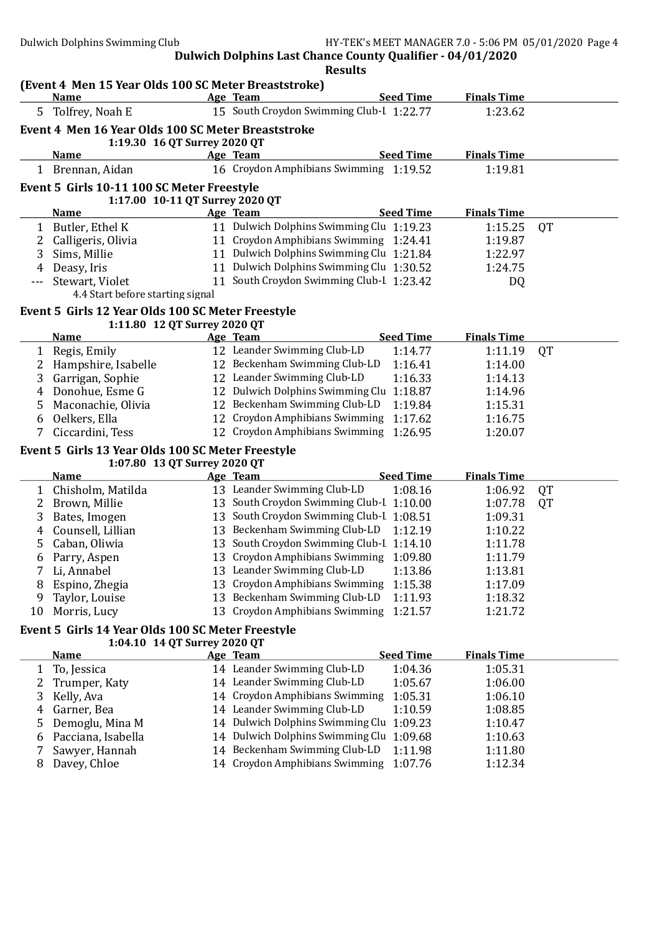|              | (Event 4 Men 15 Year Olds 100 SC Meter Breaststroke) |                                                               |                  |                    |           |
|--------------|------------------------------------------------------|---------------------------------------------------------------|------------------|--------------------|-----------|
|              | <b>Name</b>                                          | Age Team                                                      | <b>Seed Time</b> | <b>Finals Time</b> |           |
|              | 5 Tolfrey, Noah E                                    | 15 South Croydon Swimming Club-I 1:22.77                      |                  | 1:23.62            |           |
|              | Event 4 Men 16 Year Olds 100 SC Meter Breaststroke   |                                                               |                  |                    |           |
|              | 1:19.30 16 QT Surrey 2020 QT                         |                                                               |                  |                    |           |
|              | <b>Name</b>                                          | Age Team                                                      | <b>Seed Time</b> | <b>Finals Time</b> |           |
|              | 1 Brennan, Aidan                                     | 16 Croydon Amphibians Swimming 1:19.52                        |                  | 1:19.81            |           |
|              | Event 5 Girls 10-11 100 SC Meter Freestyle           |                                                               |                  |                    |           |
|              | 1:17.00 10-11 QT Surrey 2020 QT                      |                                                               |                  |                    |           |
|              | <b>Name</b>                                          | Age Team                                                      | <b>Seed Time</b> | <b>Finals Time</b> |           |
| $\mathbf{1}$ | Butler, Ethel K                                      | 11 Dulwich Dolphins Swimming Clu 1:19.23                      |                  | 1:15.25            | <b>QT</b> |
| 2            | Calligeris, Olivia                                   | 11 Croydon Amphibians Swimming 1:24.41                        |                  | 1:19.87            |           |
| 3            | Sims, Millie                                         | 11 Dulwich Dolphins Swimming Clu 1:21.84                      |                  | 1:22.97            |           |
| 4            | Deasy, Iris                                          | 11 Dulwich Dolphins Swimming Clu 1:30.52                      |                  | 1:24.75            |           |
|              | Stewart, Violet                                      | 11 South Croydon Swimming Club-I 1:23.42                      |                  | DQ                 |           |
|              | 4.4 Start before starting signal                     |                                                               |                  |                    |           |
|              | Event 5 Girls 12 Year Olds 100 SC Meter Freestyle    |                                                               |                  |                    |           |
|              | 1:11.80 12 QT Surrey 2020 QT                         |                                                               |                  |                    |           |
|              | <u>Name</u>                                          | Age Team                                                      | <b>Seed Time</b> | <b>Finals Time</b> |           |
|              | 1 Regis, Emily                                       | 12 Leander Swimming Club-LD                                   | 1:14.77          | 1:11.19            | QT        |
| 2            | Hampshire, Isabelle                                  | 12 Beckenham Swimming Club-LD                                 | 1:16.41          | 1:14.00            |           |
| 3            | Garrigan, Sophie                                     | 12 Leander Swimming Club-LD                                   | 1:16.33          | 1:14.13            |           |
| 4            | Donohue, Esme G                                      | 12 Dulwich Dolphins Swimming Clu 1:18.87                      |                  | 1:14.96            |           |
| 5            | Maconachie, Olivia                                   | 12 Beckenham Swimming Club-LD                                 | 1:19.84          | 1:15.31            |           |
| 6            | Oelkers, Ella                                        | 12 Croydon Amphibians Swimming                                | 1:17.62          | 1:16.75            |           |
| 7            | Ciccardini, Tess                                     | 12 Croydon Amphibians Swimming 1:26.95                        |                  | 1:20.07            |           |
|              | Event 5 Girls 13 Year Olds 100 SC Meter Freestyle    |                                                               |                  |                    |           |
|              | 1:07.80 13 QT Surrey 2020 QT                         |                                                               |                  |                    |           |
|              | <b>Name</b>                                          | Age Team                                                      | <b>Seed Time</b> | <b>Finals Time</b> |           |
|              | 1 Chisholm, Matilda                                  | 13 Leander Swimming Club-LD                                   | 1:08.16          | 1:06.92            | QT        |
| 2            | Brown, Millie                                        | 13 South Croydon Swimming Club-I 1:10.00                      |                  | 1:07.78            | QT        |
| 3            | Bates, Imogen                                        | 13 South Croydon Swimming Club-I 1:08.51                      |                  | 1:09.31            |           |
| 4            | Counsell, Lillian                                    | 13 Beckenham Swimming Club-LD                                 | 1:12.19          | 1:10.22            |           |
| 5            | Caban, Oliwia                                        | 13 South Croydon Swimming Club-I 1:14.10                      |                  | 1:11.78            |           |
| 6<br>7       | Parry, Aspen                                         | 13 Croydon Amphibians Swimming<br>13 Leander Swimming Club-LD | 1:09.80          | 1:11.79            |           |
|              | Li, Annabel                                          | 13 Croydon Amphibians Swimming 1:15.38                        | 1:13.86          | 1:13.81<br>1:17.09 |           |
| 8<br>9       | Espino, Zhegia<br>Taylor, Louise                     | 13 Beckenham Swimming Club-LD                                 | 1:11.93          | 1:18.32            |           |
| 10           | Morris, Lucy                                         | 13 Croydon Amphibians Swimming                                | 1:21.57          | 1:21.72            |           |
|              |                                                      |                                                               |                  |                    |           |
|              | Event 5 Girls 14 Year Olds 100 SC Meter Freestyle    |                                                               |                  |                    |           |
|              | 1:04.10 14 QT Surrey 2020 QT                         |                                                               |                  | <b>Finals Time</b> |           |
|              | <b>Name</b>                                          | Age Team                                                      | <b>Seed Time</b> |                    |           |
| 1            | To, Jessica                                          | 14 Leander Swimming Club-LD<br>14 Leander Swimming Club-LD    | 1:04.36          | 1:05.31            |           |
| 2            | Trumper, Katy                                        | 14 Croydon Amphibians Swimming                                | 1:05.67          | 1:06.00            |           |
| 3            | Kelly, Ava                                           | 14 Leander Swimming Club-LD                                   | 1:05.31          | 1:06.10            |           |
| 4            | Garner, Bea                                          | 14 Dulwich Dolphins Swimming Clu 1:09.23                      | 1:10.59          | 1:08.85            |           |
| 5            | Demoglu, Mina M<br>Pacciana, Isabella                | 14 Dulwich Dolphins Swimming Clu 1:09.68                      |                  | 1:10.47<br>1:10.63 |           |
| 6<br>7       | Sawyer, Hannah                                       | 14 Beckenham Swimming Club-LD                                 | 1:11.98          | 1:11.80            |           |
| 8            | Davey, Chloe                                         | 14 Croydon Amphibians Swimming                                | 1:07.76          | 1:12.34            |           |
|              |                                                      |                                                               |                  |                    |           |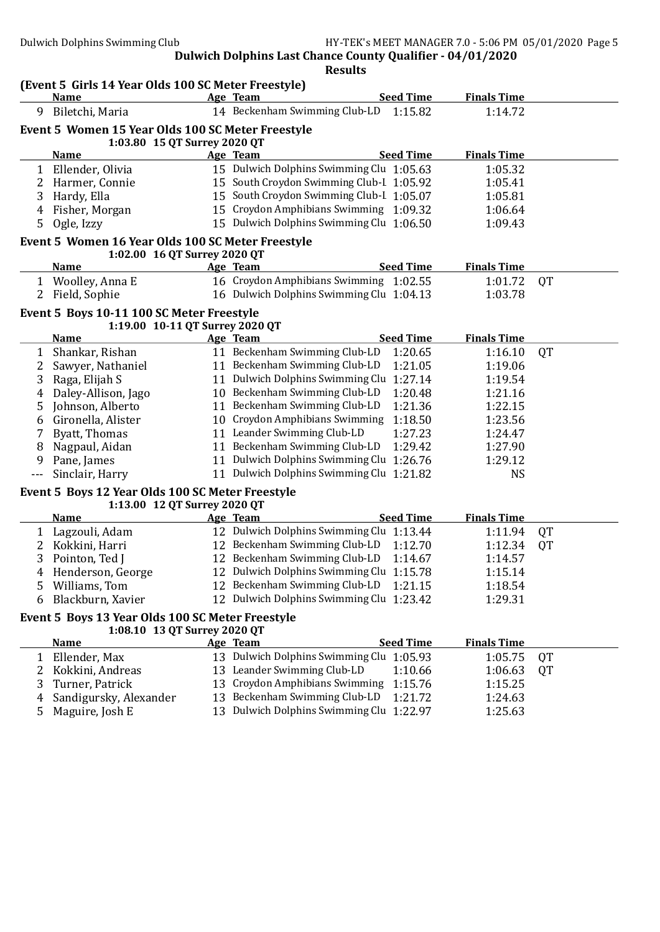|     | Name                                              | <b>Seed Time</b><br>Age Team              | <b>Finals Time</b> |           |
|-----|---------------------------------------------------|-------------------------------------------|--------------------|-----------|
| 9   | Biletchi, Maria                                   | 14 Beckenham Swimming Club-LD<br>1:15.82  | 1:14.72            |           |
|     | Event 5 Women 15 Year Olds 100 SC Meter Freestyle |                                           |                    |           |
|     | 1:03.80 15 QT Surrey 2020 QT                      |                                           |                    |           |
|     | <b>Name</b>                                       | <b>Seed Time</b><br>Age Team              | <b>Finals Time</b> |           |
|     | 1 Ellender, Olivia                                | 15 Dulwich Dolphins Swimming Clu 1:05.63  | 1:05.32            |           |
| 2   | Harmer, Connie                                    | 15 South Croydon Swimming Club-I 1:05.92  | 1:05.41            |           |
| 3   | Hardy, Ella                                       | 15 South Croydon Swimming Club-I 1:05.07  | 1:05.81            |           |
| 4   | Fisher, Morgan                                    | 15 Croydon Amphibians Swimming 1:09.32    | 1:06.64            |           |
| 5   | Ogle, Izzy                                        | 15 Dulwich Dolphins Swimming Clu 1:06.50  | 1:09.43            |           |
|     | Event 5 Women 16 Year Olds 100 SC Meter Freestyle |                                           |                    |           |
|     | 1:02.00 16 QT Surrey 2020 QT                      |                                           |                    |           |
|     | <b>Name</b>                                       | <b>Seed Time</b><br>Age Team              | <b>Finals Time</b> |           |
|     | 1 Woolley, Anna E                                 | 16 Croydon Amphibians Swimming 1:02.55    | 1:01.72            | QT        |
| 2   | Field, Sophie                                     | 16 Dulwich Dolphins Swimming Clu 1:04.13  | 1:03.78            |           |
|     | Event 5 Boys 10-11 100 SC Meter Freestyle         |                                           |                    |           |
|     | 1:19.00 10-11 QT Surrey 2020 QT                   |                                           |                    |           |
|     | <b>Name</b>                                       | <b>Seed Time</b><br>Age Team              | <b>Finals Time</b> |           |
|     | 1 Shankar, Rishan                                 | 11 Beckenham Swimming Club-LD<br>1:20.65  | 1:16.10            | <b>QT</b> |
| 2   | Sawyer, Nathaniel                                 | 11 Beckenham Swimming Club-LD<br>1:21.05  | 1:19.06            |           |
| 3   | Raga, Elijah S                                    | 11 Dulwich Dolphins Swimming Clu 1:27.14  | 1:19.54            |           |
| 4   | Daley-Allison, Jago                               | 10 Beckenham Swimming Club-LD<br>1:20.48  | 1:21.16            |           |
| 5   | Johnson, Alberto                                  | 11 Beckenham Swimming Club-LD<br>1:21.36  | 1:22.15            |           |
| 6   | Gironella, Alister                                | 10 Croydon Amphibians Swimming<br>1:18.50 | 1:23.56            |           |
| 7   | Byatt, Thomas                                     | 11 Leander Swimming Club-LD<br>1:27.23    | 1:24.47            |           |
| 8   | Nagpaul, Aidan                                    | 11 Beckenham Swimming Club-LD<br>1:29.42  | 1:27.90            |           |
| 9   | Pane, James                                       | 11 Dulwich Dolphins Swimming Clu 1:26.76  | 1:29.12            |           |
| --- | Sinclair, Harry                                   | 11 Dulwich Dolphins Swimming Clu 1:21.82  | <b>NS</b>          |           |
|     | Event 5 Boys 12 Year Olds 100 SC Meter Freestyle  |                                           |                    |           |
|     | 1:13.00 12 QT Surrey 2020 QT                      |                                           |                    |           |
|     | <b>Name</b>                                       | <b>Seed Time</b><br>Age Team              | <b>Finals Time</b> |           |
|     | 1 Lagzouli, Adam                                  | 12 Dulwich Dolphins Swimming Clu 1:13.44  | 1:11.94            | QT        |
| 2   | Kokkini, Harri                                    | 12 Beckenham Swimming Club-LD<br>1:12.70  | 1:12.34            | QT        |
| 3   | Pointon, Ted J                                    | 12 Beckenham Swimming Club-LD<br>1:14.67  | 1:14.57            |           |
| 4   | Henderson, George                                 | 12 Dulwich Dolphins Swimming Clu 1:15.78  | 1:15.14            |           |
| 5.  | Williams, Tom                                     | 12 Beckenham Swimming Club-LD<br>1:21.15  | 1:18.54            |           |
| 6   | Blackburn, Xavier                                 | 12 Dulwich Dolphins Swimming Clu 1:23.42  | 1:29.31            |           |
|     | Event 5 Boys 13 Year Olds 100 SC Meter Freestyle  |                                           |                    |           |
|     | 1:08.10 13 QT Surrey 2020 QT                      |                                           |                    |           |
|     | <b>Name</b>                                       | <b>Seed Time</b><br>Age Team              | <b>Finals Time</b> |           |
| 1   | Ellender, Max                                     | 13 Dulwich Dolphins Swimming Clu 1:05.93  | 1:05.75            | QT        |
| 2   | Kokkini, Andreas                                  | 13 Leander Swimming Club-LD<br>1:10.66    | 1:06.63            | QT        |
| 3   | Turner, Patrick                                   | 13 Croydon Amphibians Swimming<br>1:15.76 | 1:15.25            |           |
|     | Sandigursky, Alexander                            | 13 Beckenham Swimming Club-LD<br>1:21.72  | 1:24.63            |           |
| 4   |                                                   | 13 Dulwich Dolphins Swimming Clu 1:22.97  | 1:25.63            |           |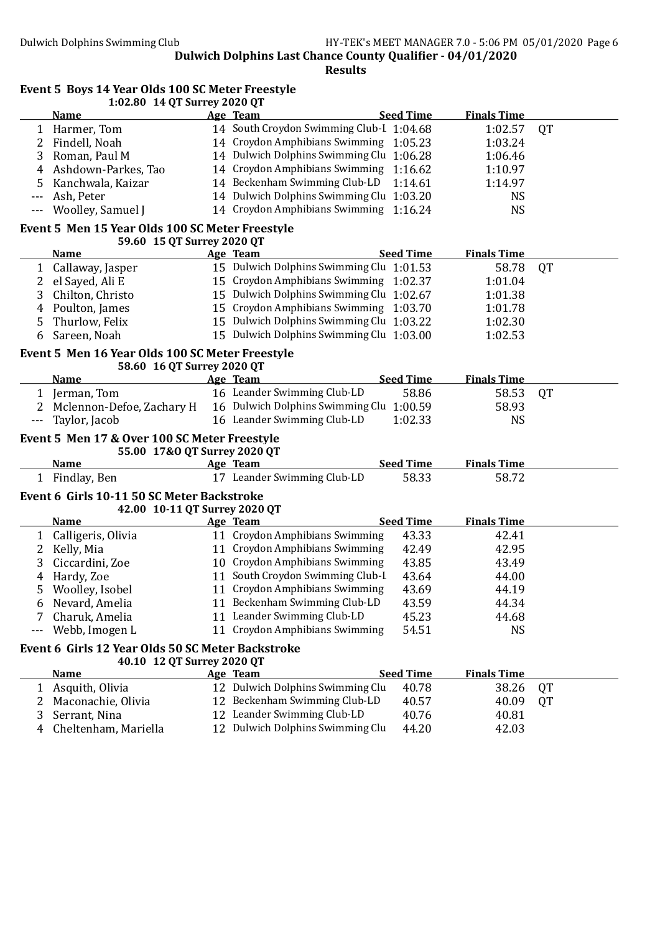Results

#### Event 5 Boys 14 Year Olds 100 SC Meter Freestyle 1:02.80 14 QT Surrey 2020 QT

|                   | <u>Name</u>                                                                   | Age Team                                 | <b>Seed Time</b> | <b>Finals Time</b> |           |
|-------------------|-------------------------------------------------------------------------------|------------------------------------------|------------------|--------------------|-----------|
| $\mathbf{1}$      | Harmer, Tom                                                                   | 14 South Croydon Swimming Club-I 1:04.68 |                  | 1:02.57            | QT        |
| 2                 | Findell, Noah                                                                 | 14 Croydon Amphibians Swimming 1:05.23   |                  | 1:03.24            |           |
| 3                 | Roman, Paul M                                                                 | 14 Dulwich Dolphins Swimming Clu 1:06.28 |                  | 1:06.46            |           |
| 4                 | Ashdown-Parkes, Tao                                                           | 14 Croydon Amphibians Swimming 1:16.62   |                  | 1:10.97            |           |
| 5                 | Kanchwala, Kaizar                                                             | 14 Beckenham Swimming Club-LD            | 1:14.61          | 1:14.97            |           |
| ---               | Ash, Peter                                                                    | 14 Dulwich Dolphins Swimming Clu 1:03.20 |                  | <b>NS</b>          |           |
| $---$             | Woolley, Samuel J                                                             | 14 Croydon Amphibians Swimming 1:16.24   |                  | <b>NS</b>          |           |
|                   |                                                                               |                                          |                  |                    |           |
|                   | Event 5 Men 15 Year Olds 100 SC Meter Freestyle<br>59.60 15 QT Surrey 2020 QT |                                          |                  |                    |           |
|                   | <b>Name</b>                                                                   |                                          | <b>Seed Time</b> | <b>Finals Time</b> |           |
|                   |                                                                               | Age Team                                 |                  |                    |           |
| $\mathbf{1}$      | Callaway, Jasper                                                              | 15 Dulwich Dolphins Swimming Clu 1:01.53 |                  | 58.78              | <b>QT</b> |
| 2                 | el Sayed, Ali E                                                               | 15 Croydon Amphibians Swimming 1:02.37   |                  | 1:01.04            |           |
| 3                 | Chilton, Christo                                                              | 15 Dulwich Dolphins Swimming Clu 1:02.67 |                  | 1:01.38            |           |
| 4                 | Poulton, James                                                                | 15 Croydon Amphibians Swimming 1:03.70   |                  | 1:01.78            |           |
| 5                 | Thurlow, Felix                                                                | 15 Dulwich Dolphins Swimming Clu 1:03.22 |                  | 1:02.30            |           |
| 6                 | Sareen, Noah                                                                  | 15 Dulwich Dolphins Swimming Clu 1:03.00 |                  | 1:02.53            |           |
|                   | Event 5 Men 16 Year Olds 100 SC Meter Freestyle                               |                                          |                  |                    |           |
|                   | 58.60 16 QT Surrey 2020 QT                                                    |                                          |                  |                    |           |
|                   | <b>Name</b>                                                                   | Age Team                                 | <b>Seed Time</b> | <b>Finals Time</b> |           |
| 1                 | Jerman, Tom                                                                   | 16 Leander Swimming Club-LD              | 58.86            | 58.53              | QT        |
| 2                 | Mclennon-Defoe, Zachary H                                                     | 16 Dulwich Dolphins Swimming Clu 1:00.59 |                  | 58.93              |           |
| $\qquad \qquad -$ | Taylor, Jacob                                                                 | 16 Leander Swimming Club-LD              | 1:02.33          | <b>NS</b>          |           |
|                   |                                                                               |                                          |                  |                    |           |
|                   | Event 5 Men 17 & Over 100 SC Meter Freestyle                                  |                                          |                  |                    |           |
|                   | 55.00 17&O QT Surrey 2020 QT                                                  |                                          |                  | <b>Finals Time</b> |           |
|                   | <b>Name</b>                                                                   | Age Team<br>17 Leander Swimming Club-LD  | <b>Seed Time</b> |                    |           |
| 1                 | Findlay, Ben                                                                  |                                          | 58.33            | 58.72              |           |
|                   | Event 6 Girls 10-11 50 SC Meter Backstroke                                    |                                          |                  |                    |           |
|                   | 42.00 10-11 QT Surrey 2020 QT                                                 |                                          |                  |                    |           |
|                   | <b>Name</b>                                                                   | Age Team                                 | <b>Seed Time</b> | <b>Finals Time</b> |           |
| $\mathbf{1}$      | Calligeris, Olivia                                                            | 11 Croydon Amphibians Swimming           | 43.33            | 42.41              |           |
| 2                 | Kelly, Mia                                                                    | 11 Croydon Amphibians Swimming           | 42.49            | 42.95              |           |
| 3                 | Ciccardini, Zoe                                                               | 10 Croydon Amphibians Swimming           | 43.85            | 43.49              |           |
| 4                 | Hardy, Zoe                                                                    | 11 South Croydon Swimming Club-I         | 43.64            | 44.00              |           |
| 5                 | Woolley, Isobel                                                               | 11 Croydon Amphibians Swimming           | 43.69            | 44.19              |           |
| 6                 | Nevard, Amelia                                                                | 11 Beckenham Swimming Club-LD            | 43.59            | 44.34              |           |
| 7                 | Charuk, Amelia                                                                | 11 Leander Swimming Club-LD              | 45.23            | 44.68              |           |
|                   | Webb, Imogen L                                                                | 11 Croydon Amphibians Swimming           | 54.51            | <b>NS</b>          |           |
|                   |                                                                               |                                          |                  |                    |           |
|                   | Event 6 Girls 12 Year Olds 50 SC Meter Backstroke                             |                                          |                  |                    |           |
|                   | 40.10 12 QT Surrey 2020 QT                                                    |                                          |                  |                    |           |
|                   | <b>Name</b>                                                                   | Age Team                                 | <b>Seed Time</b> | <b>Finals Time</b> |           |
| $\mathbf{1}$      | Asquith, Olivia                                                               | 12 Dulwich Dolphins Swimming Clu         | 40.78            | 38.26              | <b>QT</b> |
| 2                 | Maconachie, Olivia                                                            | 12 Beckenham Swimming Club-LD            | 40.57            | 40.09              | QT        |
| 3                 | Serrant, Nina                                                                 | 12 Leander Swimming Club-LD              | 40.76            | 40.81              |           |
| 4                 | Cheltenham, Mariella                                                          | 12 Dulwich Dolphins Swimming Clu         | 44.20            | 42.03              |           |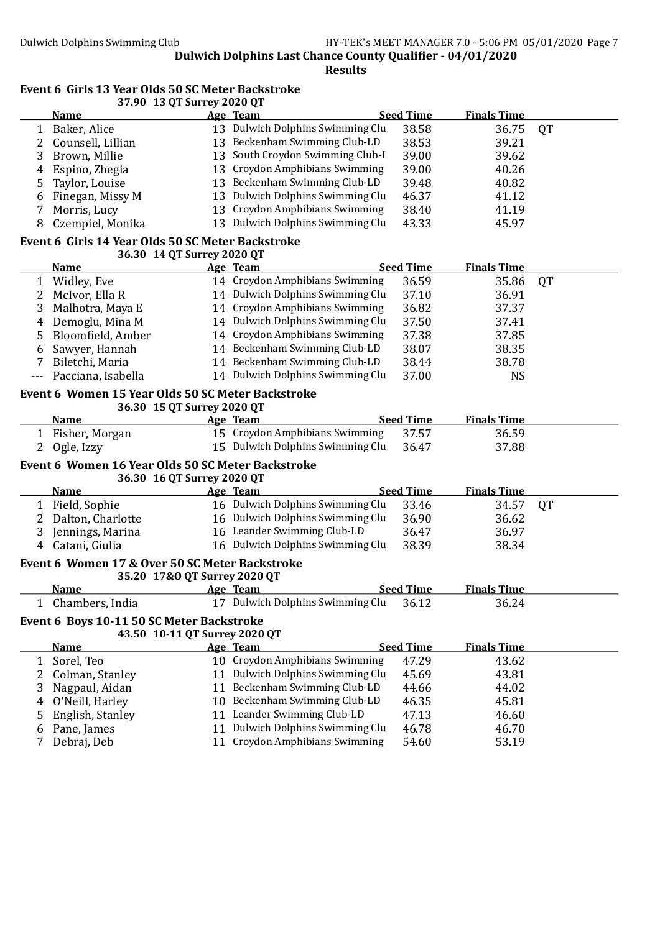Results

#### Event 6 Girls 13 Year Olds 50 SC Meter Backstroke 37.90 13 QT Surrey 2020 QT

|                | <b>Name</b>                                       | Age Team                                                           | <b>Seed Time</b> | <b>Finals Time</b> |           |
|----------------|---------------------------------------------------|--------------------------------------------------------------------|------------------|--------------------|-----------|
| 1              | Baker, Alice                                      | 13 Dulwich Dolphins Swimming Clu                                   | 38.58            | 36.75              | <b>QT</b> |
| 2              | Counsell, Lillian                                 | 13 Beckenham Swimming Club-LD                                      | 38.53            | 39.21              |           |
| 3              | Brown, Millie                                     | 13 South Croydon Swimming Club-I                                   | 39.00            | 39.62              |           |
| $\overline{4}$ | Espino, Zhegia                                    | 13 Croydon Amphibians Swimming                                     | 39.00            | 40.26              |           |
| 5              | Taylor, Louise                                    | 13 Beckenham Swimming Club-LD                                      | 39.48            | 40.82              |           |
| 6              | Finegan, Missy M                                  | 13 Dulwich Dolphins Swimming Clu                                   | 46.37            | 41.12              |           |
| 7              | Morris, Lucy                                      | 13 Croydon Amphibians Swimming                                     | 38.40            | 41.19              |           |
| 8              | Czempiel, Monika                                  | 13 Dulwich Dolphins Swimming Clu                                   | 43.33            | 45.97              |           |
|                | Event 6 Girls 14 Year Olds 50 SC Meter Backstroke |                                                                    |                  |                    |           |
|                | 36.30 14 QT Surrey 2020 QT                        |                                                                    |                  |                    |           |
|                | <b>Name</b>                                       | Age Team                                                           | <b>Seed Time</b> | <b>Finals Time</b> |           |
|                | 1 Widley, Eve                                     | 14 Croydon Amphibians Swimming                                     | 36.59            | 35.86              | QT        |
| 2              | McIvor, Ella R                                    | 14 Dulwich Dolphins Swimming Clu                                   | 37.10            | 36.91              |           |
| 3              | Malhotra, Maya E                                  | 14 Croydon Amphibians Swimming                                     | 36.82            | 37.37              |           |
| $\overline{4}$ | Demoglu, Mina M                                   | 14 Dulwich Dolphins Swimming Clu                                   | 37.50            | 37.41              |           |
| 5.             | Bloomfield, Amber                                 | 14 Croydon Amphibians Swimming                                     | 37.38            | 37.85              |           |
| 6              | Sawyer, Hannah                                    | 14 Beckenham Swimming Club-LD                                      | 38.07            | 38.35              |           |
| 7              | Biletchi, Maria                                   | 14 Beckenham Swimming Club-LD                                      | 38.44            | 38.78              |           |
| $---$          | Pacciana, Isabella                                | 14 Dulwich Dolphins Swimming Clu                                   | 37.00            | <b>NS</b>          |           |
|                | Event 6 Women 15 Year Olds 50 SC Meter Backstroke |                                                                    |                  |                    |           |
|                | 36.30 15 QT Surrey 2020 QT                        |                                                                    |                  |                    |           |
|                | <b>Name</b>                                       | Age Team                                                           | <b>Seed Time</b> | <b>Finals Time</b> |           |
| 1              | Fisher, Morgan                                    | 15 Croydon Amphibians Swimming                                     | 37.57            | 36.59              |           |
|                |                                                   |                                                                    |                  |                    |           |
| 2              | Ogle, Izzy                                        | 15 Dulwich Dolphins Swimming Clu                                   | 36.47            | 37.88              |           |
|                | Event 6 Women 16 Year Olds 50 SC Meter Backstroke |                                                                    |                  |                    |           |
|                | 36.30 16 QT Surrey 2020 QT                        |                                                                    |                  |                    |           |
|                | <u>Name</u>                                       | Age Team                                                           | <b>Seed Time</b> | <b>Finals Time</b> |           |
|                | 1 Field, Sophie                                   | 16 Dulwich Dolphins Swimming Clu                                   | 33.46            | 34.57              | <b>QT</b> |
| 2              | Dalton, Charlotte                                 | 16 Dulwich Dolphins Swimming Clu                                   | 36.90            | 36.62              |           |
| 3              | Jennings, Marina                                  | 16 Leander Swimming Club-LD                                        | 36.47            | 36.97              |           |
| 4              | Catani, Giulia                                    | 16 Dulwich Dolphins Swimming Clu                                   | 38.39            | 38.34              |           |
|                | Event 6 Women 17 & Over 50 SC Meter Backstroke    |                                                                    |                  |                    |           |
|                | 35.20 17&O QT Surrey 2020 QT                      |                                                                    |                  |                    |           |
|                | <u>Name</u>                                       | Age Team                                                           | <b>Seed Time</b> | <b>Finals Time</b> |           |
|                | 1 Chambers, India                                 | 17 Dulwich Dolphins Swimming Clu 36.12                             |                  | 36.24              |           |
|                | Event 6 Boys 10-11 50 SC Meter Backstroke         |                                                                    |                  |                    |           |
|                | 43.50 10-11 QT Surrey 2020 QT                     |                                                                    |                  |                    |           |
|                | <b>Name</b>                                       | Age Team                                                           | <b>Seed Time</b> | <b>Finals Time</b> |           |
| $\mathbf{1}$   | Sorel, Teo                                        | 10 Croydon Amphibians Swimming                                     | 47.29            | 43.62              |           |
| $\overline{2}$ | Colman, Stanley                                   | 11 Dulwich Dolphins Swimming Clu                                   | 45.69            | 43.81              |           |
| 3              | Nagpaul, Aidan                                    | 11 Beckenham Swimming Club-LD                                      | 44.66            | 44.02              |           |
| 4              | O'Neill, Harley                                   | 10 Beckenham Swimming Club-LD                                      | 46.35            | 45.81              |           |
| 5              | English, Stanley                                  | 11 Leander Swimming Club-LD                                        | 47.13            | 46.60              |           |
| 6              | Pane, James<br>Debraj, Deb                        | 11 Dulwich Dolphins Swimming Clu<br>11 Croydon Amphibians Swimming | 46.78<br>54.60   | 46.70<br>53.19     |           |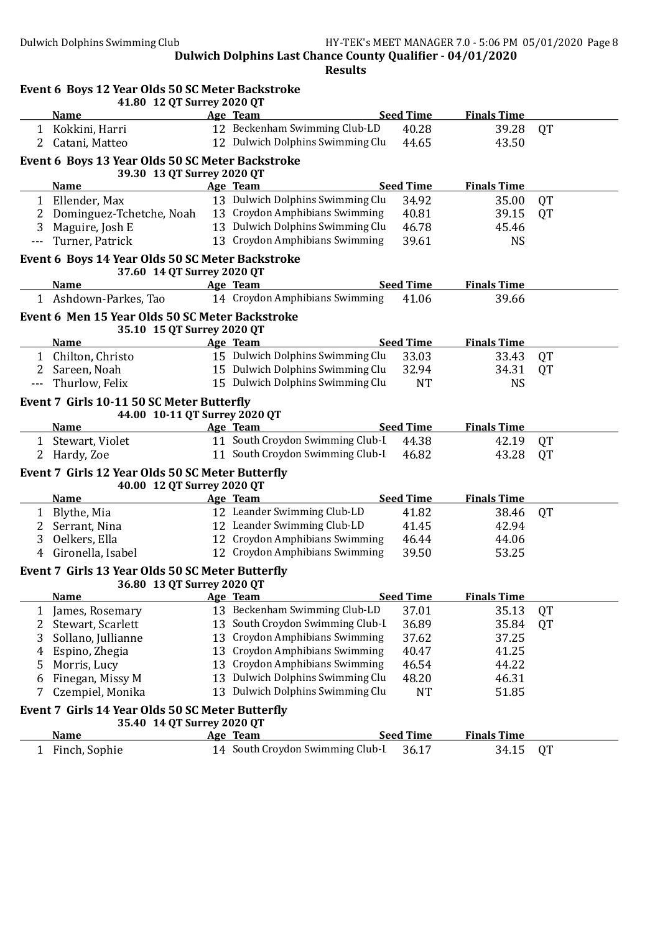|                | Event 6 Boys 12 Year Olds 50 SC Meter Backstroke<br>41.80 12 QT Surrey 2020 QT |    |                                  |                  |                    |           |
|----------------|--------------------------------------------------------------------------------|----|----------------------------------|------------------|--------------------|-----------|
|                | <b>Name</b>                                                                    |    | Age Team                         | <b>Seed Time</b> | <b>Finals Time</b> |           |
|                | 1 Kokkini, Harri                                                               |    | 12 Beckenham Swimming Club-LD    | 40.28            | 39.28              | <b>QT</b> |
|                | 2 Catani, Matteo                                                               |    | 12 Dulwich Dolphins Swimming Clu | 44.65            | 43.50              |           |
|                | Event 6 Boys 13 Year Olds 50 SC Meter Backstroke<br>39.30 13 QT Surrey 2020 QT |    |                                  |                  |                    |           |
|                | <b>Name</b>                                                                    |    | Age Team                         | <b>Seed Time</b> | <b>Finals Time</b> |           |
|                | 1 Ellender, Max                                                                |    | 13 Dulwich Dolphins Swimming Clu | 34.92            | 35.00              | <b>QT</b> |
| 2              | Dominguez-Tchetche, Noah                                                       |    | 13 Croydon Amphibians Swimming   | 40.81            | 39.15              | <b>QT</b> |
| 3              | Maguire, Josh E                                                                |    | 13 Dulwich Dolphins Swimming Clu | 46.78            | 45.46              |           |
| $---$          | Turner, Patrick                                                                |    | 13 Croydon Amphibians Swimming   | 39.61            | <b>NS</b>          |           |
|                | Event 6 Boys 14 Year Olds 50 SC Meter Backstroke                               |    |                                  |                  |                    |           |
|                | 37.60 14 QT Surrey 2020 QT                                                     |    |                                  |                  |                    |           |
|                | <b>Name</b>                                                                    |    | Age Team                         | <b>Seed Time</b> | <b>Finals Time</b> |           |
|                | 1 Ashdown-Parkes, Tao                                                          |    | 14 Croydon Amphibians Swimming   | 41.06            | 39.66              |           |
|                | Event 6 Men 15 Year Olds 50 SC Meter Backstroke<br>35.10 15 QT Surrey 2020 QT  |    |                                  |                  |                    |           |
|                | <b>Name</b>                                                                    |    | Age Team                         | <b>Seed Time</b> | <b>Finals Time</b> |           |
|                | 1 Chilton, Christo                                                             |    | 15 Dulwich Dolphins Swimming Clu | 33.03            | 33.43              | <b>QT</b> |
| $\overline{2}$ | Sareen, Noah                                                                   |    | 15 Dulwich Dolphins Swimming Clu | 32.94            | 34.31              | QT        |
|                | Thurlow, Felix                                                                 |    | 15 Dulwich Dolphins Swimming Clu | <b>NT</b>        | <b>NS</b>          |           |
|                | Event 7 Girls 10-11 50 SC Meter Butterfly<br>44.00 10-11 QT Surrey 2020 QT     |    |                                  |                  |                    |           |
|                | <b>Name</b>                                                                    |    | Age Team                         | <b>Seed Time</b> | <b>Finals Time</b> |           |
|                | 1 Stewart, Violet                                                              |    | 11 South Croydon Swimming Club-I | 44.38            | 42.19              | <b>QT</b> |
|                | 2 Hardy, Zoe                                                                   |    | 11 South Croydon Swimming Club-I | 46.82            | 43.28              | <b>QT</b> |
|                | Event 7 Girls 12 Year Olds 50 SC Meter Butterfly                               |    |                                  |                  |                    |           |
|                | 40.00 12 QT Surrey 2020 QT<br><b>Name</b>                                      |    | Age Team                         | <b>Seed Time</b> | <b>Finals Time</b> |           |
| $\mathbf{1}$   | Blythe, Mia                                                                    |    | 12 Leander Swimming Club-LD      | 41.82            | 38.46              | <b>QT</b> |
| 2              | Serrant, Nina                                                                  |    | 12 Leander Swimming Club-LD      | 41.45            | 42.94              |           |
| 3              | Oelkers, Ella                                                                  |    | 12 Croydon Amphibians Swimming   | 46.44            | 44.06              |           |
| 4              | Gironella, Isabel                                                              |    | 12 Croydon Amphibians Swimming   | 39.50            | 53.25              |           |
|                |                                                                                |    |                                  |                  |                    |           |
|                | Event 7 Girls 13 Year Olds 50 SC Meter Butterfly<br>36.80 13 QT Surrey 2020 QT |    |                                  |                  |                    |           |
|                | <b>Name</b>                                                                    |    | Age Team                         | <b>Seed Time</b> | <b>Finals Time</b> |           |
| 1              | James, Rosemary                                                                |    | 13 Beckenham Swimming Club-LD    | 37.01            | 35.13              | QT        |
| 2              | Stewart, Scarlett                                                              | 13 | South Croydon Swimming Club-I    | 36.89            | 35.84              | QT        |
| 3              | Sollano, Jullianne                                                             | 13 | Croydon Amphibians Swimming      | 37.62            | 37.25              |           |
| 4              | Espino, Zhegia                                                                 | 13 | Croydon Amphibians Swimming      | 40.47            | 41.25              |           |
| 5              | Morris, Lucy                                                                   | 13 | Croydon Amphibians Swimming      | 46.54            | 44.22              |           |
| 6              | Finegan, Missy M                                                               |    | 13 Dulwich Dolphins Swimming Clu | 48.20            | 46.31              |           |
| 7              | Czempiel, Monika                                                               |    | 13 Dulwich Dolphins Swimming Clu | <b>NT</b>        | 51.85              |           |
|                | Event 7 Girls 14 Year Olds 50 SC Meter Butterfly<br>35.40 14 QT Surrey 2020 QT |    |                                  |                  |                    |           |
|                | <b>Name</b>                                                                    |    | Age Team                         | <b>Seed Time</b> | <b>Finals Time</b> |           |
| $\mathbf{1}$   | Finch, Sophie                                                                  |    | 14 South Croydon Swimming Club-I | 36.17            | 34.15              | QT        |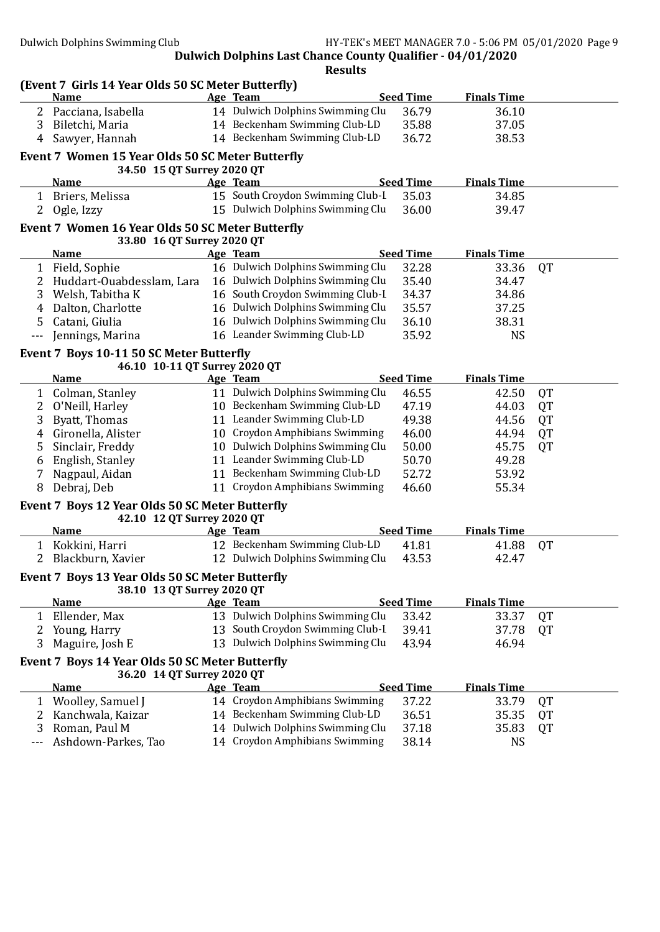|              | (Event 7 Girls 14 Year Olds 50 SC Meter Butterfly)<br><b>Name</b> |    | Age Team                                                           | <b>Seed Time</b> | <b>Finals Time</b> |           |
|--------------|-------------------------------------------------------------------|----|--------------------------------------------------------------------|------------------|--------------------|-----------|
|              | 2 Pacciana, Isabella                                              |    | 14 Dulwich Dolphins Swimming Clu                                   | 36.79            | 36.10              |           |
| 3            | Biletchi, Maria                                                   |    | 14 Beckenham Swimming Club-LD                                      | 35.88            | 37.05              |           |
| 4            | Sawyer, Hannah                                                    |    | 14 Beckenham Swimming Club-LD                                      | 36.72            | 38.53              |           |
|              | Event 7 Women 15 Year Olds 50 SC Meter Butterfly                  |    |                                                                    |                  |                    |           |
|              | 34.50 15 QT Surrey 2020 QT                                        |    |                                                                    |                  |                    |           |
|              | <b>Name</b>                                                       |    | Age Team                                                           | <b>Seed Time</b> | <b>Finals Time</b> |           |
|              | 1 Briers, Melissa                                                 |    | 15 South Croydon Swimming Club-I                                   | 35.03            | 34.85              |           |
| 2            | Ogle, Izzy                                                        |    | 15 Dulwich Dolphins Swimming Clu                                   | 36.00            | 39.47              |           |
|              | Event 7 Women 16 Year Olds 50 SC Meter Butterfly                  |    |                                                                    |                  |                    |           |
|              | 33.80 16 QT Surrey 2020 QT<br><b>Name</b>                         |    | Age Team                                                           | <b>Seed Time</b> | <b>Finals Time</b> |           |
| $\mathbf{1}$ | Field, Sophie                                                     |    | 16 Dulwich Dolphins Swimming Clu                                   | 32.28            | 33.36              | QT        |
|              |                                                                   |    | 16 Dulwich Dolphins Swimming Clu                                   |                  |                    |           |
| 2            | Huddart-Ouabdesslam, Lara                                         |    |                                                                    | 35.40            | 34.47              |           |
| 3            | Welsh, Tabitha K                                                  |    | 16 South Croydon Swimming Club-I                                   | 34.37            | 34.86              |           |
| 4            | Dalton, Charlotte                                                 |    | 16 Dulwich Dolphins Swimming Clu                                   | 35.57            | 37.25              |           |
| 5            | Catani, Giulia                                                    |    | 16 Dulwich Dolphins Swimming Clu                                   | 36.10            | 38.31              |           |
| $- - -$      | Jennings, Marina                                                  |    | 16 Leander Swimming Club-LD                                        | 35.92            | <b>NS</b>          |           |
|              | Event 7 Boys 10-11 50 SC Meter Butterfly                          |    |                                                                    |                  |                    |           |
|              | 46.10 10-11 QT Surrey 2020 QT<br><b>Name</b>                      |    | Age Team                                                           | <b>Seed Time</b> | <b>Finals Time</b> |           |
|              |                                                                   |    |                                                                    |                  |                    |           |
| $\mathbf{1}$ | Colman, Stanley                                                   |    | 11 Dulwich Dolphins Swimming Clu                                   | 46.55            | 42.50              | QT        |
| 2            | O'Neill, Harley                                                   |    | 10 Beckenham Swimming Club-LD                                      | 47.19            | 44.03              | <b>QT</b> |
| 3            | Byatt, Thomas                                                     |    | 11 Leander Swimming Club-LD                                        | 49.38            | 44.56              | QT        |
| 4            | Gironella, Alister                                                |    | 10 Croydon Amphibians Swimming                                     | 46.00            | 44.94              | <b>QT</b> |
| 5            | Sinclair, Freddy                                                  |    | 10 Dulwich Dolphins Swimming Clu                                   | 50.00            | 45.75              | QT        |
| 6            | English, Stanley                                                  |    | 11 Leander Swimming Club-LD                                        | 50.70            | 49.28              |           |
| 7            | Nagpaul, Aidan                                                    |    | 11 Beckenham Swimming Club-LD                                      | 52.72            | 53.92              |           |
| 8            | Debraj, Deb                                                       |    | 11 Croydon Amphibians Swimming                                     | 46.60            | 55.34              |           |
|              | Event 7 Boys 12 Year Olds 50 SC Meter Butterfly                   |    |                                                                    |                  |                    |           |
|              | 42.10 12 QT Surrey 2020 QT                                        |    |                                                                    |                  |                    |           |
|              | <b>Name</b>                                                       |    | Age Team                                                           | <b>Seed Time</b> | <b>Finals Time</b> |           |
| $\mathbf{1}$ | Kokkini, Harri                                                    |    | 12 Beckenham Swimming Club-LD                                      | 41.81            | 41.88              | QT        |
|              | 2 Blackburn, Xavier                                               |    | 12 Dulwich Dolphins Swimming Clu                                   | 43.53            | 42.47              |           |
|              | Event 7 Boys 13 Year Olds 50 SC Meter Butterfly                   |    |                                                                    |                  |                    |           |
|              | 38.10 13 QT Surrey 2020 QT                                        |    |                                                                    |                  |                    |           |
|              | <b>Name</b>                                                       |    | Age Team                                                           | <b>Seed Time</b> | <b>Finals Time</b> |           |
|              | Ellender, Max                                                     |    | 13 Dulwich Dolphins Swimming Clu                                   | 33.42            | 33.37              | QT        |
| 2            | Young, Harry                                                      | 13 | South Croydon Swimming Club-I                                      | 39.41            | 37.78              | QT        |
| 3            | Maguire, Josh E                                                   |    | 13 Dulwich Dolphins Swimming Clu                                   | 43.94            | 46.94              |           |
|              | Event 7 Boys 14 Year Olds 50 SC Meter Butterfly                   |    |                                                                    |                  |                    |           |
|              | 36.20 14 QT Surrey 2020 QT                                        |    |                                                                    |                  |                    |           |
|              | <b>Name</b>                                                       |    | Age Team                                                           | <b>Seed Time</b> | <b>Finals Time</b> |           |
| 1            | Woolley, Samuel J                                                 |    | 14 Croydon Amphibians Swimming                                     | 37.22            | 33.79              | QT        |
|              |                                                                   |    | 14 Beckenham Swimming Club-LD                                      | 36.51            | 35.35              | QT        |
| 2            | Kanchwala, Kaizar                                                 |    |                                                                    |                  |                    |           |
| 3            | Roman, Paul M<br>Ashdown-Parkes, Tao                              |    | 14 Dulwich Dolphins Swimming Clu<br>14 Croydon Amphibians Swimming | 37.18<br>38.14   | 35.83<br><b>NS</b> | QT        |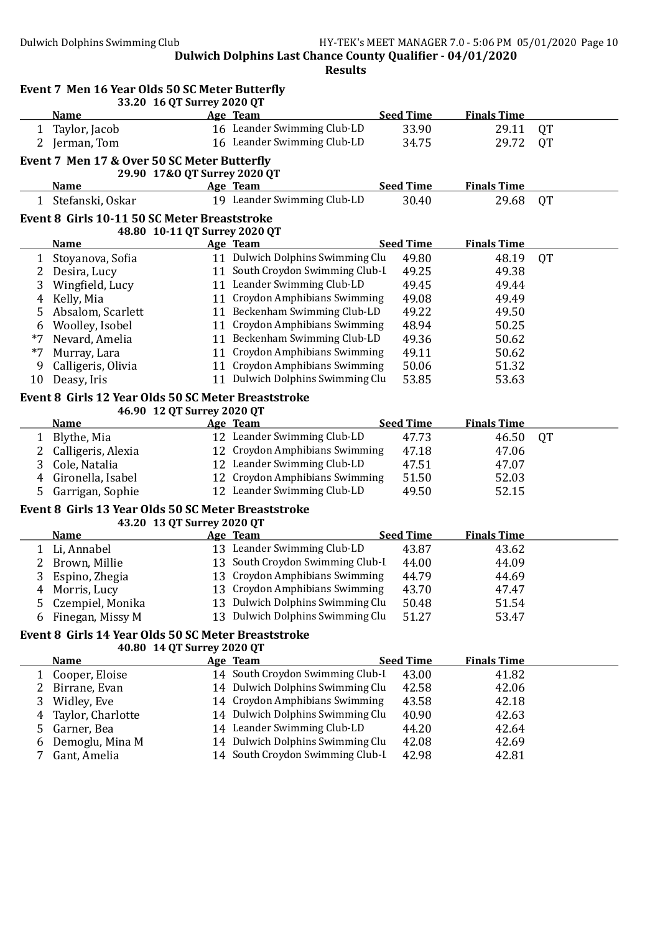|        | Event 7 Men 16 Year Olds 50 SC Meter Butterfly      | 33.20 16 QT Surrey 2020 QT    |                                                                      |                  |                    |           |
|--------|-----------------------------------------------------|-------------------------------|----------------------------------------------------------------------|------------------|--------------------|-----------|
|        | <b>Name</b>                                         |                               | Age Team                                                             | <b>Seed Time</b> | <b>Finals Time</b> |           |
| 1      | Taylor, Jacob                                       |                               | 16 Leander Swimming Club-LD                                          | 33.90            | 29.11              | <b>QT</b> |
| 2      | Jerman, Tom                                         |                               | 16 Leander Swimming Club-LD                                          | 34.75            | 29.72              | QT        |
|        | Event 7 Men 17 & Over 50 SC Meter Butterfly         |                               |                                                                      |                  |                    |           |
|        |                                                     | 29.90 17&0 QT Surrey 2020 QT  |                                                                      |                  |                    |           |
|        | <b>Name</b>                                         |                               | Age Team                                                             | <b>Seed Time</b> | <b>Finals Time</b> |           |
|        | 1 Stefanski, Oskar                                  |                               | 19 Leander Swimming Club-LD                                          | 30.40            | 29.68              | <b>QT</b> |
|        | Event 8 Girls 10-11 50 SC Meter Breaststroke        |                               |                                                                      |                  |                    |           |
|        |                                                     | 48.80 10-11 QT Surrey 2020 QT |                                                                      |                  |                    |           |
|        | <b>Name</b>                                         |                               | Age Team                                                             | <b>Seed Time</b> | <b>Finals Time</b> |           |
| 1      | Stoyanova, Sofia                                    |                               | 11 Dulwich Dolphins Swimming Clu                                     | 49.80            | 48.19              | <b>QT</b> |
| 2      | Desira, Lucy                                        |                               | 11 South Croydon Swimming Club-I                                     | 49.25            | 49.38              |           |
| 3      | Wingfield, Lucy                                     |                               | 11 Leander Swimming Club-LD                                          | 49.45            | 49.44              |           |
| 4      | Kelly, Mia                                          |                               | 11 Croydon Amphibians Swimming                                       | 49.08            | 49.49              |           |
| 5      | Absalom, Scarlett                                   |                               | 11 Beckenham Swimming Club-LD                                        | 49.22            | 49.50              |           |
| 6      | Woolley, Isobel                                     |                               | 11 Croydon Amphibians Swimming                                       | 48.94            | 50.25              |           |
| $*7$   | Nevard, Amelia                                      |                               | 11 Beckenham Swimming Club-LD                                        | 49.36            | 50.62              |           |
| $*7$   | Murray, Lara                                        |                               | 11 Croydon Amphibians Swimming                                       | 49.11            | 50.62              |           |
| 9      | Calligeris, Olivia                                  |                               | 11 Croydon Amphibians Swimming                                       | 50.06            | 51.32              |           |
| 10     | Deasy, Iris                                         |                               | 11 Dulwich Dolphins Swimming Clu                                     | 53.85            | 53.63              |           |
|        | Event 8 Girls 12 Year Olds 50 SC Meter Breaststroke |                               |                                                                      |                  |                    |           |
|        |                                                     | 46.90 12 QT Surrey 2020 QT    |                                                                      |                  |                    |           |
|        | <b>Name</b>                                         |                               | Age Team                                                             | <b>Seed Time</b> | <b>Finals Time</b> |           |
| 1      | Blythe, Mia                                         |                               | 12 Leander Swimming Club-LD                                          | 47.73            | 46.50              | <b>QT</b> |
| 2      | Calligeris, Alexia                                  |                               | 12 Croydon Amphibians Swimming                                       | 47.18            | 47.06              |           |
| 3      | Cole, Natalia                                       |                               | 12 Leander Swimming Club-LD                                          | 47.51            | 47.07              |           |
| 4      | Gironella, Isabel                                   |                               | 12 Croydon Amphibians Swimming                                       | 51.50            | 52.03              |           |
| 5      | Garrigan, Sophie                                    |                               | 12 Leander Swimming Club-LD                                          | 49.50            | 52.15              |           |
|        | Event 8 Girls 13 Year Olds 50 SC Meter Breaststroke |                               |                                                                      |                  |                    |           |
|        |                                                     | 43.20 13 QT Surrey 2020 QT    |                                                                      |                  |                    |           |
|        | <b>Name</b>                                         |                               | Age Team                                                             | <b>Seed Time</b> | <b>Finals Time</b> |           |
| 1      | Li, Annabel                                         |                               | 13 Leander Swimming Club-LD                                          | 43.87            | 43.62              |           |
| 2      | Brown, Millie                                       |                               | 13 South Croydon Swimming Club-I                                     | 44.00            | 44.09              |           |
| 3      | Espino, Zhegia                                      |                               | 13 Croydon Amphibians Swimming                                       | 44.79            | 44.69              |           |
| 4      | Morris, Lucy                                        |                               | 13 Croydon Amphibians Swimming                                       | 43.70            | 47.47              |           |
| 5      | Czempiel, Monika                                    |                               | 13 Dulwich Dolphins Swimming Clu                                     | 50.48            | 51.54              |           |
| 6      | Finegan, Missy M                                    |                               | 13 Dulwich Dolphins Swimming Clu                                     | 51.27            | 53.47              |           |
|        | Event 8 Girls 14 Year Olds 50 SC Meter Breaststroke |                               |                                                                      |                  |                    |           |
|        |                                                     | 40.80 14 QT Surrey 2020 QT    |                                                                      |                  |                    |           |
|        | <b>Name</b>                                         |                               | Age Team                                                             | <b>Seed Time</b> | <b>Finals Time</b> |           |
| 1      | Cooper, Eloise                                      |                               | 14 South Croydon Swimming Club-I<br>14 Dulwich Dolphins Swimming Clu | 43.00            | 41.82              |           |
| 2      | Birrane, Evan                                       |                               | 14 Croydon Amphibians Swimming                                       | 42.58            | 42.06              |           |
| 3      | Widley, Eve                                         |                               | 14 Dulwich Dolphins Swimming Clu                                     | 43.58            | 42.18              |           |
| 4      | Taylor, Charlotte                                   |                               | 14 Leander Swimming Club-LD                                          | 40.90<br>44.20   | 42.63              |           |
| 5      | Garner, Bea                                         |                               |                                                                      |                  | 42.64              |           |
| 6<br>7 | Demoglu, Mina M<br>Gant, Amelia                     |                               | 14 Dulwich Dolphins Swimming Clu<br>14 South Croydon Swimming Club-I | 42.08            | 42.69              |           |
|        |                                                     |                               |                                                                      | 42.98            | 42.81              |           |
|        |                                                     |                               |                                                                      |                  |                    |           |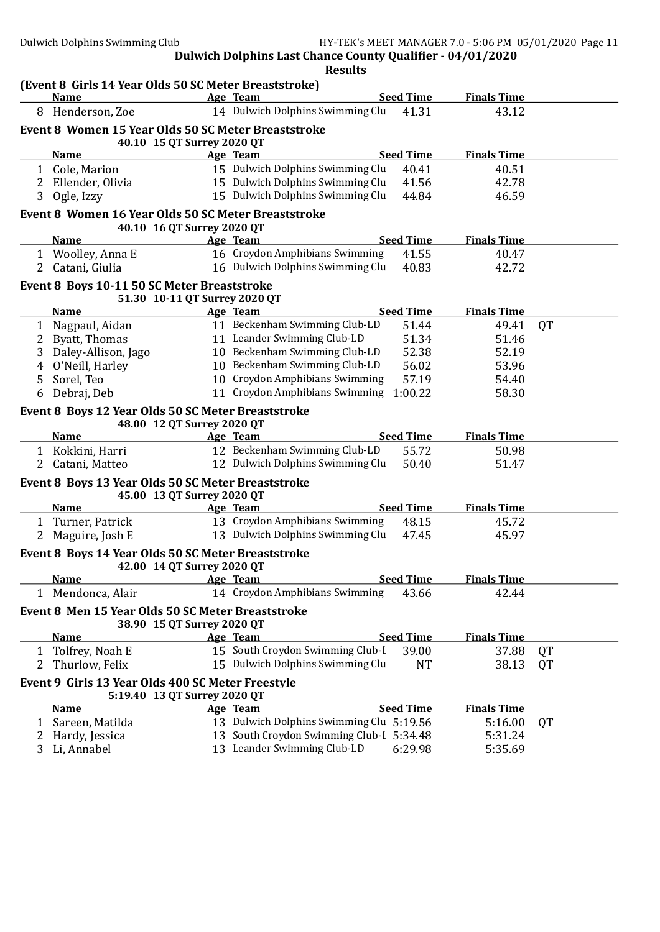|   |                                                                      |                               | <b>Results</b>                               |                  |                    |           |
|---|----------------------------------------------------------------------|-------------------------------|----------------------------------------------|------------------|--------------------|-----------|
|   | (Event 8 Girls 14 Year Olds 50 SC Meter Breaststroke)<br><b>Name</b> |                               |                                              | <b>Seed Time</b> | <b>Finals Time</b> |           |
|   | 8 Henderson, Zoe                                                     |                               | Age Team<br>14 Dulwich Dolphins Swimming Clu | 41.31            | 43.12              |           |
|   |                                                                      |                               |                                              |                  |                    |           |
|   | Event 8 Women 15 Year Olds 50 SC Meter Breaststroke                  | 40.10 15 QT Surrey 2020 QT    |                                              |                  |                    |           |
|   | Name                                                                 |                               | Age Team                                     | <b>Seed Time</b> | <b>Finals Time</b> |           |
|   | 1 Cole, Marion                                                       |                               | 15 Dulwich Dolphins Swimming Clu             | 40.41            | 40.51              |           |
|   | 2 Ellender, Olivia                                                   |                               | 15 Dulwich Dolphins Swimming Clu             | 41.56            | 42.78              |           |
| 3 | Ogle, Izzy                                                           |                               | 15 Dulwich Dolphins Swimming Clu             | 44.84            | 46.59              |           |
|   | Event 8 Women 16 Year Olds 50 SC Meter Breaststroke                  |                               |                                              |                  |                    |           |
|   |                                                                      | 40.10 16 QT Surrey 2020 QT    |                                              |                  |                    |           |
|   | <b>Name</b>                                                          |                               | Age Team                                     | <b>Seed Time</b> | <b>Finals Time</b> |           |
|   | 1 Woolley, Anna E                                                    |                               | 16 Croydon Amphibians Swimming               | 41.55            | 40.47              |           |
| 2 | Catani, Giulia                                                       |                               | 16 Dulwich Dolphins Swimming Clu             | 40.83            | 42.72              |           |
|   | Event 8 Boys 10-11 50 SC Meter Breaststroke                          |                               |                                              |                  |                    |           |
|   |                                                                      | 51.30 10-11 QT Surrey 2020 QT |                                              |                  |                    |           |
|   | <b>Name</b>                                                          |                               | Age Team                                     | <b>Seed Time</b> | <b>Finals Time</b> |           |
| 1 | Nagpaul, Aidan                                                       |                               | 11 Beckenham Swimming Club-LD                | 51.44            | 49.41              | <b>QT</b> |
| 2 | Byatt, Thomas                                                        |                               | 11 Leander Swimming Club-LD                  | 51.34            | 51.46              |           |
| 3 | Daley-Allison, Jago                                                  |                               | 10 Beckenham Swimming Club-LD                | 52.38            | 52.19              |           |
| 4 | O'Neill, Harley                                                      |                               | 10 Beckenham Swimming Club-LD                | 56.02            | 53.96              |           |
| 5 | Sorel, Teo                                                           |                               | 10 Croydon Amphibians Swimming               | 57.19            | 54.40              |           |
| 6 | Debraj, Deb                                                          |                               | 11 Croydon Amphibians Swimming 1:00.22       |                  | 58.30              |           |
|   | Event 8 Boys 12 Year Olds 50 SC Meter Breaststroke                   |                               |                                              |                  |                    |           |
|   |                                                                      | 48.00 12 QT Surrey 2020 QT    |                                              |                  |                    |           |
|   | <b>Name</b>                                                          |                               | Age Team                                     | <b>Seed Time</b> | <b>Finals Time</b> |           |
|   | 1 Kokkini, Harri                                                     |                               | 12 Beckenham Swimming Club-LD                | 55.72            | 50.98              |           |
| 2 | Catani, Matteo                                                       |                               | 12 Dulwich Dolphins Swimming Clu             | 50.40            | 51.47              |           |
|   | Event 8 Boys 13 Year Olds 50 SC Meter Breaststroke                   |                               |                                              |                  |                    |           |
|   |                                                                      | 45.00 13 QT Surrey 2020 QT    |                                              |                  |                    |           |
|   | <b>Name</b>                                                          |                               | Age Team                                     | <b>Seed Time</b> | <b>Finals Time</b> |           |
|   | 1 Turner, Patrick                                                    |                               | 13 Croydon Amphibians Swimming               | 48.15            | 45.72              |           |
|   | 2 Maguire, Josh E                                                    |                               | 13 Dulwich Dolphins Swimming Clu             | 47.45            | 45.97              |           |
|   | Event 8 Boys 14 Year Olds 50 SC Meter Breaststroke                   |                               |                                              |                  |                    |           |
|   |                                                                      | 42.00 14 QT Surrey 2020 QT    |                                              |                  |                    |           |
|   | <b>Name</b>                                                          |                               | Age Team                                     | <b>Seed Time</b> | <b>Finals Time</b> |           |
|   | 1 Mendonca, Alair                                                    |                               | 14 Croydon Amphibians Swimming               | 43.66            | 42.44              |           |
|   | Event 8 Men 15 Year Olds 50 SC Meter Breaststroke                    |                               |                                              |                  |                    |           |
|   |                                                                      | 38.90 15 QT Surrey 2020 QT    |                                              |                  |                    |           |
|   | <b>Name</b>                                                          |                               | Age Team                                     | <b>Seed Time</b> | <b>Finals Time</b> |           |
| 1 | Tolfrey, Noah E                                                      |                               | 15 South Croydon Swimming Club-I             | 39.00            | 37.88              | QT        |
| 2 | Thurlow, Felix                                                       |                               | 15 Dulwich Dolphins Swimming Clu             | <b>NT</b>        | 38.13              | QT        |
|   | Event 9 Girls 13 Year Olds 400 SC Meter Freestyle                    |                               |                                              |                  |                    |           |
|   | 5:19.40 13 QT Surrey 2020 QT                                         |                               |                                              |                  |                    |           |
|   | <b>Name</b>                                                          |                               | Age Team                                     | <b>Seed Time</b> | <b>Finals Time</b> |           |
| 1 | Sareen, Matilda                                                      |                               | 13 Dulwich Dolphins Swimming Clu 5:19.56     |                  | 5:16.00            | QT        |
| 2 | Hardy, Jessica                                                       |                               | 13 South Croydon Swimming Club-I 5:34.48     |                  | 5:31.24            |           |
| 3 | Li, Annabel                                                          |                               | 13 Leander Swimming Club-LD                  | 6:29.98          | 5:35.69            |           |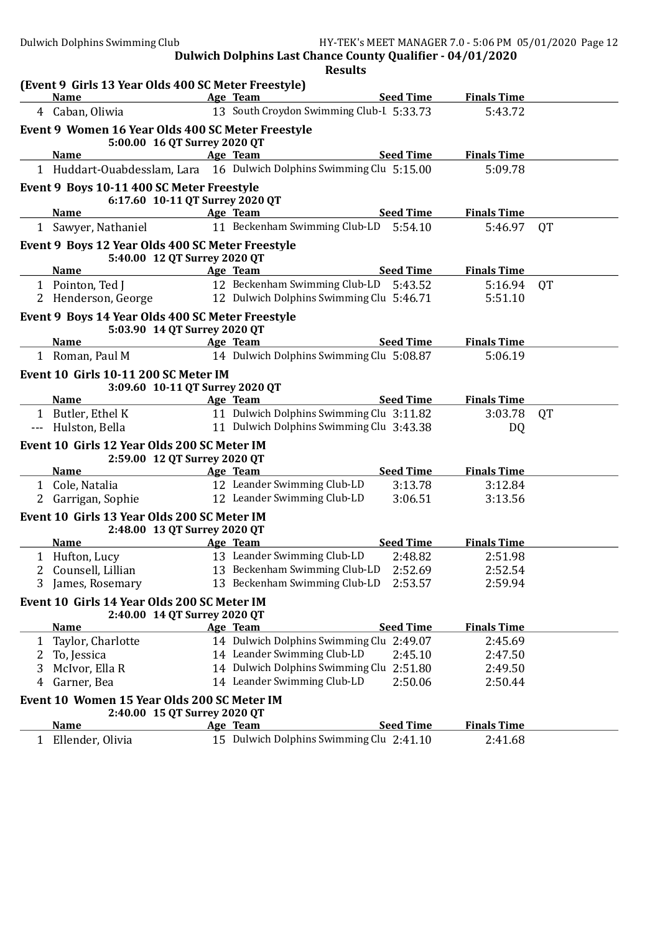|        |                                                                         | <b>Results</b>                                                                     |                    |           |
|--------|-------------------------------------------------------------------------|------------------------------------------------------------------------------------|--------------------|-----------|
|        | (Event 9 Girls 13 Year Olds 400 SC Meter Freestyle)<br><b>Name</b>      | <b>Seed Time</b><br>Age Team                                                       | <b>Finals Time</b> |           |
|        | 4 Caban, Oliwia                                                         | 13 South Croydon Swimming Club-L 5:33.73                                           | 5:43.72            |           |
|        | Event 9 Women 16 Year Olds 400 SC Meter Freestyle                       |                                                                                    |                    |           |
|        | 5:00.00 16 QT Surrey 2020 QT                                            |                                                                                    |                    |           |
|        | <b>Name</b>                                                             | <b>Seed Time</b><br>Age Team                                                       | <b>Finals Time</b> |           |
|        |                                                                         | 1 Huddart-Ouabdesslam, Lara 16 Dulwich Dolphins Swimming Clu 5:15.00               | 5:09.78            |           |
|        | Event 9 Boys 10-11 400 SC Meter Freestyle                               |                                                                                    |                    |           |
|        | 6:17.60 10-11 QT Surrey 2020 QT                                         |                                                                                    |                    |           |
|        | <b>Name</b>                                                             | <b>Seed Time</b><br>Age Team                                                       | <b>Finals Time</b> |           |
|        | 1 Sawyer, Nathaniel                                                     | 11 Beckenham Swimming Club-LD<br>5:54.10                                           | 5:46.97            | <b>QT</b> |
|        | Event 9 Boys 12 Year Olds 400 SC Meter Freestyle                        |                                                                                    |                    |           |
|        | 5:40.00 12 QT Surrey 2020 QT                                            |                                                                                    |                    |           |
|        | <b>Name</b>                                                             | Age Team<br><b>Seed Time</b>                                                       | <b>Finals Time</b> |           |
|        | 1 Pointon, Ted J<br>2 Henderson, George                                 | 12 Beckenham Swimming Club-LD 5:43.52<br>12 Dulwich Dolphins Swimming Clu 5:46.71  | 5:16.94<br>5:51.10 | QT        |
|        |                                                                         |                                                                                    |                    |           |
|        | Event 9 Boys 14 Year Olds 400 SC Meter Freestyle                        |                                                                                    |                    |           |
|        | 5:03.90 14 QT Surrey 2020 QT<br><b>Name</b>                             | Age Team<br><b>Seed Time</b>                                                       | <b>Finals Time</b> |           |
|        | 1 Roman, Paul M                                                         | 14 Dulwich Dolphins Swimming Clu 5:08.87                                           | 5:06.19            |           |
|        |                                                                         |                                                                                    |                    |           |
|        | Event 10 Girls 10-11 200 SC Meter IM<br>3:09.60 10-11 QT Surrey 2020 QT |                                                                                    |                    |           |
|        | <b>Name</b>                                                             | Age Team<br><b>Seed Time</b>                                                       | <b>Finals Time</b> |           |
|        | 1 Butler, Ethel K                                                       | 11 Dulwich Dolphins Swimming Clu 3:11.82                                           | 3:03.78            | QT        |
|        | --- Hulston, Bella                                                      | 11 Dulwich Dolphins Swimming Clu 3:43.38                                           | DQ                 |           |
|        | Event 10 Girls 12 Year Olds 200 SC Meter IM                             |                                                                                    |                    |           |
|        | 2:59.00 12 QT Surrey 2020 QT                                            |                                                                                    |                    |           |
|        | <b>Name</b>                                                             | <b>Seed Time</b><br>Age Team                                                       | <b>Finals Time</b> |           |
|        | 1 Cole, Natalia                                                         | 12 Leander Swimming Club-LD<br>3:13.78                                             | 3:12.84            |           |
| 2      | Garrigan, Sophie                                                        | 12 Leander Swimming Club-LD<br>3:06.51                                             | 3:13.56            |           |
|        | Event 10 Girls 13 Year Olds 200 SC Meter IM                             |                                                                                    |                    |           |
|        |                                                                         |                                                                                    |                    |           |
|        | 2:48.00 13 QT Surrey 2020 QT                                            |                                                                                    |                    |           |
|        | <b>Name</b>                                                             | <b>Seed Time</b><br>Age Team                                                       | <b>Finals Time</b> |           |
|        | 1 Hufton, Lucy                                                          | 13 Leander Swimming Club-LD<br>2:48.82                                             | 2:51.98            |           |
|        | Counsell, Lillian                                                       | 13 Beckenham Swimming Club-LD<br>2:52.69                                           | 2:52.54            |           |
| 3.     | James, Rosemary                                                         | 13 Beckenham Swimming Club-LD<br>2:53.57                                           | 2:59.94            |           |
|        | Event 10 Girls 14 Year Olds 200 SC Meter IM                             |                                                                                    |                    |           |
|        | 2:40.00 14 QT Surrey 2020 QT                                            |                                                                                    |                    |           |
|        | <b>Name</b>                                                             | <b>Seed Time</b><br>Age Team                                                       | <b>Finals Time</b> |           |
| 1      | Taylor, Charlotte                                                       | 14 Dulwich Dolphins Swimming Clu 2:49.07                                           | 2:45.69            |           |
| 2      | To, Jessica                                                             | 14 Leander Swimming Club-LD<br>2:45.10                                             | 2:47.50            |           |
| 3<br>4 | McIvor, Ella R                                                          | 14 Dulwich Dolphins Swimming Clu 2:51.80<br>14 Leander Swimming Club-LD<br>2:50.06 | 2:49.50<br>2:50.44 |           |
|        | Garner, Bea                                                             |                                                                                    |                    |           |
|        | Event 10 Women 15 Year Olds 200 SC Meter IM                             |                                                                                    |                    |           |
|        | 2:40.00 15 QT Surrey 2020 QT<br><b>Name</b>                             | <b>Seed Time</b><br>Age Team                                                       | <b>Finals Time</b> |           |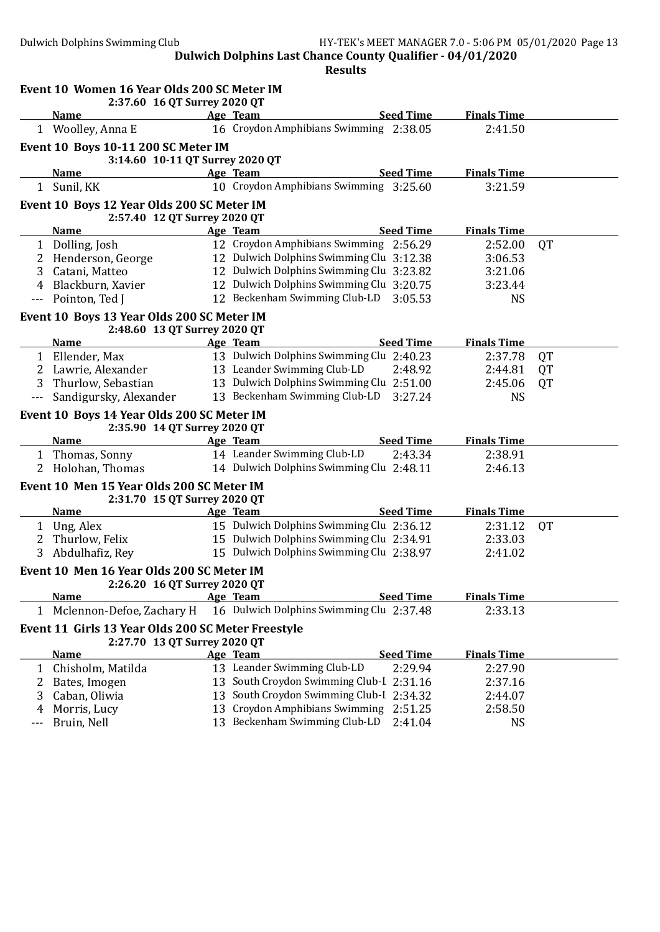|              | Event 10 Women 16 Year Olds 200 SC Meter IM<br>2:37.60 16 QT Surrey 2020 QT |    |                                          |                    |           |
|--------------|-----------------------------------------------------------------------------|----|------------------------------------------|--------------------|-----------|
|              | <b>Name</b>                                                                 |    | <b>Seed Time</b><br>Age Team             | <b>Finals Time</b> |           |
|              | 1 Woolley, Anna E                                                           |    | 16 Croydon Amphibians Swimming 2:38.05   | 2:41.50            |           |
|              | <b>Event 10 Boys 10-11 200 SC Meter IM</b>                                  |    |                                          |                    |           |
|              | 3:14.60 10-11 QT Surrey 2020 QT                                             |    |                                          |                    |           |
|              | <b>Name</b>                                                                 |    | <b>Seed Time</b><br>Age Team             | <b>Finals Time</b> |           |
| 1            | Sunil, KK                                                                   |    | 10 Croydon Amphibians Swimming 3:25.60   | 3:21.59            |           |
|              | Event 10 Boys 12 Year Olds 200 SC Meter IM                                  |    |                                          |                    |           |
|              | 2:57.40 12 QT Surrey 2020 QT                                                |    |                                          |                    |           |
|              | <b>Name</b>                                                                 |    | <b>Seed Time</b><br>Age Team             | <b>Finals Time</b> |           |
|              | 1 Dolling, Josh                                                             |    | 12 Croydon Amphibians Swimming 2:56.29   | 2:52.00            | QT        |
| 2            | Henderson, George                                                           |    | 12 Dulwich Dolphins Swimming Clu 3:12.38 | 3:06.53            |           |
| 3            | Catani, Matteo                                                              |    | 12 Dulwich Dolphins Swimming Clu 3:23.82 | 3:21.06            |           |
| 4            | Blackburn, Xavier                                                           |    | 12 Dulwich Dolphins Swimming Clu 3:20.75 | 3:23.44            |           |
| $---$        | Pointon, Ted J                                                              |    | 12 Beckenham Swimming Club-LD<br>3:05.53 | <b>NS</b>          |           |
|              | Event 10 Boys 13 Year Olds 200 SC Meter IM                                  |    |                                          |                    |           |
|              | 2:48.60 13 QT Surrey 2020 QT                                                |    |                                          |                    |           |
|              | <b>Name</b>                                                                 |    | <b>Seed Time</b><br>Age Team             | <b>Finals Time</b> |           |
|              | 1 Ellender, Max                                                             |    | 13 Dulwich Dolphins Swimming Clu 2:40.23 | 2:37.78            | QT        |
|              | 2 Lawrie, Alexander                                                         |    | 13 Leander Swimming Club-LD<br>2:48.92   | 2:44.81            | <b>QT</b> |
| 3            | Thurlow, Sebastian                                                          |    | 13 Dulwich Dolphins Swimming Clu 2:51.00 | 2:45.06            | QT        |
|              | Sandigursky, Alexander                                                      |    |                                          |                    |           |
|              |                                                                             |    |                                          |                    |           |
|              |                                                                             |    | 13 Beckenham Swimming Club-LD<br>3:27.24 | <b>NS</b>          |           |
|              | Event 10 Boys 14 Year Olds 200 SC Meter IM                                  |    |                                          |                    |           |
|              | 2:35.90 14 QT Surrey 2020 QT                                                |    |                                          |                    |           |
|              | <b>Name</b>                                                                 |    | Age Team<br><b>Seed Time</b>             | <b>Finals Time</b> |           |
|              | 1 Thomas, Sonny                                                             |    | 14 Leander Swimming Club-LD<br>2:43.34   | 2:38.91            |           |
|              | 2 Holohan, Thomas                                                           |    | 14 Dulwich Dolphins Swimming Clu 2:48.11 | 2:46.13            |           |
|              | Event 10 Men 15 Year Olds 200 SC Meter IM                                   |    |                                          |                    |           |
|              | 2:31.70 15 QT Surrey 2020 QT                                                |    |                                          |                    |           |
|              | <b>Name</b>                                                                 |    | <b>Seed Time</b><br>Age Team             | <b>Finals Time</b> |           |
|              | 1 Ung, Alex                                                                 |    | 15 Dulwich Dolphins Swimming Clu 2:36.12 | 2:31.12            | QT        |
| $\mathbf{2}$ | Thurlow, Felix                                                              |    | 15 Dulwich Dolphins Swimming Clu 2:34.91 | 2:33.03            |           |
| 3            | Abdulhafiz, Rey                                                             |    | 15 Dulwich Dolphins Swimming Clu 2:38.97 | 2:41.02            |           |
|              | Event 10 Men 16 Year Olds 200 SC Meter IM                                   |    |                                          |                    |           |
|              | 2:26.20 16 QT Surrey 2020 QT                                                |    |                                          |                    |           |
|              | <b>Name</b>                                                                 |    | <b>Seed Time</b><br>Age Team             | <b>Finals Time</b> |           |
| 1            | Mclennon-Defoe, Zachary H                                                   |    | 16 Dulwich Dolphins Swimming Clu 2:37.48 | 2:33.13            |           |
|              |                                                                             |    |                                          |                    |           |
|              | Event 11 Girls 13 Year Olds 200 SC Meter Freestyle                          |    |                                          |                    |           |
|              | 2:27.70 13 QT Surrey 2020 QT<br><b>Name</b>                                 |    | <b>Seed Time</b><br>Age Team             | <b>Finals Time</b> |           |
| 1            |                                                                             |    | 13 Leander Swimming Club-LD<br>2:29.94   | 2:27.90            |           |
| 2            | Chisholm, Matilda                                                           |    | 13 South Croydon Swimming Club-I 2:31.16 |                    |           |
| 3            | Bates, Imogen                                                               | 13 | South Croydon Swimming Club-L 2:34.32    | 2:37.16            |           |
| 4            | Caban, Oliwia<br>Morris, Lucy                                               | 13 | Croydon Amphibians Swimming<br>2:51.25   | 2:44.07<br>2:58.50 |           |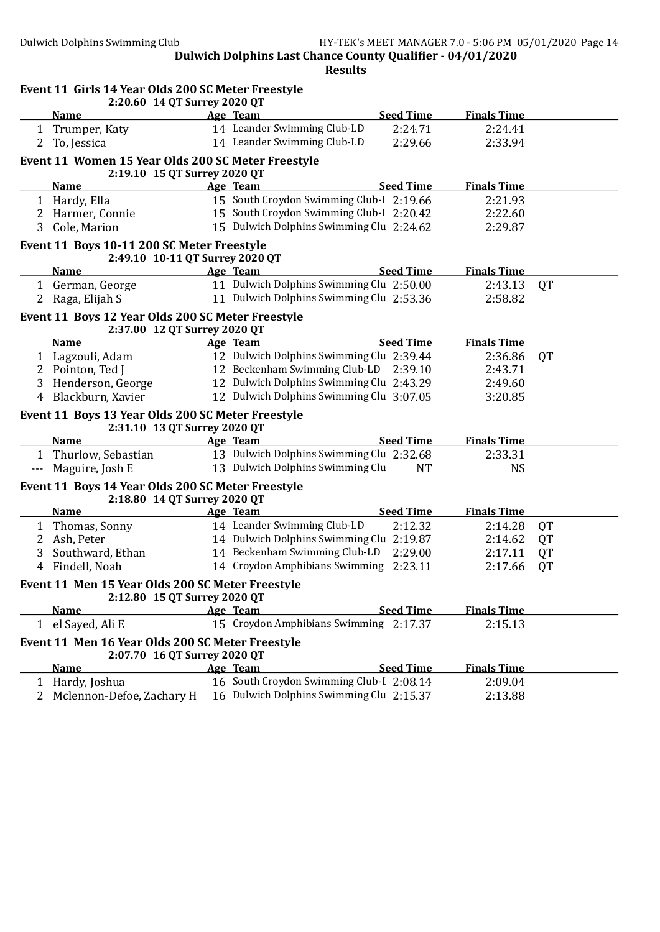| <b>Seed Time</b><br><b>Finals Time</b><br><b>Name</b><br>Age Team<br>14 Leander Swimming Club-LD<br>2:24.71<br>2:24.41<br>Trumper, Katy<br>$\mathbf{1}$<br>14 Leander Swimming Club-LD<br>2 To, Jessica<br>2:29.66<br>2:33.94<br>Event 11 Women 15 Year Olds 200 SC Meter Freestyle<br>2:19.10 15 QT Surrey 2020 QT<br><b>Seed Time</b><br><b>Finals Time</b><br><b>Name</b><br>Age Team<br>15 South Croydon Swimming Club-I 2:19.66<br>1 Hardy, Ella<br>2:21.93<br>15 South Croydon Swimming Club-I 2:20.42<br>2:22.60<br>2 Harmer, Connie<br>15 Dulwich Dolphins Swimming Clu 2:24.62<br>Cole, Marion<br>2:29.87<br>3<br>Event 11 Boys 10-11 200 SC Meter Freestyle<br>2:49.10 10-11 QT Surrey 2020 QT<br>Age Team<br><b>Seed Time</b><br><b>Finals Time</b><br><b>Name</b><br>11 Dulwich Dolphins Swimming Clu 2:50.00<br>1 German, George<br>2:43.13<br><b>QT</b><br>11 Dulwich Dolphins Swimming Clu 2:53.36<br>2 Raga, Elijah S<br>2:58.82<br>Event 11 Boys 12 Year Olds 200 SC Meter Freestyle<br>2:37.00 12 QT Surrey 2020 QT<br><b>Seed Time</b><br>Age Team<br><b>Finals Time</b><br><b>Name</b><br>12 Dulwich Dolphins Swimming Clu 2:39.44<br>1 Lagzouli, Adam<br>2:36.86<br><b>QT</b><br>12 Beckenham Swimming Club-LD 2:39.10<br>2 Pointon, Ted J<br>2:43.71<br>12 Dulwich Dolphins Swimming Clu 2:43.29<br>Henderson, George<br>2:49.60<br>3<br>12 Dulwich Dolphins Swimming Clu 3:07.05<br>Blackburn, Xavier<br>3:20.85<br>4<br>Event 11 Boys 13 Year Olds 200 SC Meter Freestyle<br>2:31.10 13 QT Surrey 2020 QT<br><b>Seed Time</b><br><b>Finals Time</b><br>Age Team<br><b>Name</b><br>13 Dulwich Dolphins Swimming Clu 2:32.68<br>1 Thurlow, Sebastian<br>2:33.31<br>13 Dulwich Dolphins Swimming Clu<br>Maguire, Josh E<br><b>NT</b><br><b>NS</b><br>$---$<br>Event 11 Boys 14 Year Olds 200 SC Meter Freestyle<br>2:18.80 14 QT Surrey 2020 QT<br><b>Seed Time</b><br><b>Finals Time</b><br><b>Name</b><br>Age Team<br>14 Leander Swimming Club-LD<br>Thomas, Sonny<br>2:12.32<br>2:14.28<br>QT<br>1<br>14 Dulwich Dolphins Swimming Clu 2:19.87<br>Ash, Peter<br>2:14.62<br>QT<br>2 <sup>1</sup><br>14 Beckenham Swimming Club-LD<br>2:29.00<br>3<br>Southward, Ethan<br>2:17.11<br>QT<br>14 Croydon Amphibians Swimming 2:23.11<br>4 Findell, Noah<br>2:17.66<br>QT<br>Event 11 Men 15 Year Olds 200 SC Meter Freestyle<br>2:12.80 15 QT Surrey 2020 QT<br>Age Team<br><b>Seed Time</b><br><b>Finals Time</b><br><b>Name</b><br>15 Croydon Amphibians Swimming 2:17.37<br>1 el Sayed, Ali E<br>2:15.13<br>Event 11 Men 16 Year Olds 200 SC Meter Freestyle<br>2:07.70 16 QT Surrey 2020 QT<br><b>Seed Time</b><br><b>Name</b><br>Age Team<br><b>Finals Time</b><br>16 South Croydon Swimming Club-I 2:08.14<br>Hardy, Joshua<br>2:09.04<br>1<br>16 Dulwich Dolphins Swimming Clu 2:15.37 | Event 11 Girls 14 Year Olds 200 SC Meter Freestyle<br>2:20.60 14 QT Surrey 2020 QT |  |         |  |
|------------------------------------------------------------------------------------------------------------------------------------------------------------------------------------------------------------------------------------------------------------------------------------------------------------------------------------------------------------------------------------------------------------------------------------------------------------------------------------------------------------------------------------------------------------------------------------------------------------------------------------------------------------------------------------------------------------------------------------------------------------------------------------------------------------------------------------------------------------------------------------------------------------------------------------------------------------------------------------------------------------------------------------------------------------------------------------------------------------------------------------------------------------------------------------------------------------------------------------------------------------------------------------------------------------------------------------------------------------------------------------------------------------------------------------------------------------------------------------------------------------------------------------------------------------------------------------------------------------------------------------------------------------------------------------------------------------------------------------------------------------------------------------------------------------------------------------------------------------------------------------------------------------------------------------------------------------------------------------------------------------------------------------------------------------------------------------------------------------------------------------------------------------------------------------------------------------------------------------------------------------------------------------------------------------------------------------------------------------------------------------------------------------------------------------------------------------------------------------------------------------------------------------------------------------------------------------------------------------------------------------------------------------------------------------------------------------------------------------------------------------------------------------------------------------------|------------------------------------------------------------------------------------|--|---------|--|
|                                                                                                                                                                                                                                                                                                                                                                                                                                                                                                                                                                                                                                                                                                                                                                                                                                                                                                                                                                                                                                                                                                                                                                                                                                                                                                                                                                                                                                                                                                                                                                                                                                                                                                                                                                                                                                                                                                                                                                                                                                                                                                                                                                                                                                                                                                                                                                                                                                                                                                                                                                                                                                                                                                                                                                                                                  |                                                                                    |  |         |  |
|                                                                                                                                                                                                                                                                                                                                                                                                                                                                                                                                                                                                                                                                                                                                                                                                                                                                                                                                                                                                                                                                                                                                                                                                                                                                                                                                                                                                                                                                                                                                                                                                                                                                                                                                                                                                                                                                                                                                                                                                                                                                                                                                                                                                                                                                                                                                                                                                                                                                                                                                                                                                                                                                                                                                                                                                                  |                                                                                    |  |         |  |
|                                                                                                                                                                                                                                                                                                                                                                                                                                                                                                                                                                                                                                                                                                                                                                                                                                                                                                                                                                                                                                                                                                                                                                                                                                                                                                                                                                                                                                                                                                                                                                                                                                                                                                                                                                                                                                                                                                                                                                                                                                                                                                                                                                                                                                                                                                                                                                                                                                                                                                                                                                                                                                                                                                                                                                                                                  |                                                                                    |  |         |  |
|                                                                                                                                                                                                                                                                                                                                                                                                                                                                                                                                                                                                                                                                                                                                                                                                                                                                                                                                                                                                                                                                                                                                                                                                                                                                                                                                                                                                                                                                                                                                                                                                                                                                                                                                                                                                                                                                                                                                                                                                                                                                                                                                                                                                                                                                                                                                                                                                                                                                                                                                                                                                                                                                                                                                                                                                                  |                                                                                    |  |         |  |
|                                                                                                                                                                                                                                                                                                                                                                                                                                                                                                                                                                                                                                                                                                                                                                                                                                                                                                                                                                                                                                                                                                                                                                                                                                                                                                                                                                                                                                                                                                                                                                                                                                                                                                                                                                                                                                                                                                                                                                                                                                                                                                                                                                                                                                                                                                                                                                                                                                                                                                                                                                                                                                                                                                                                                                                                                  |                                                                                    |  |         |  |
|                                                                                                                                                                                                                                                                                                                                                                                                                                                                                                                                                                                                                                                                                                                                                                                                                                                                                                                                                                                                                                                                                                                                                                                                                                                                                                                                                                                                                                                                                                                                                                                                                                                                                                                                                                                                                                                                                                                                                                                                                                                                                                                                                                                                                                                                                                                                                                                                                                                                                                                                                                                                                                                                                                                                                                                                                  |                                                                                    |  |         |  |
|                                                                                                                                                                                                                                                                                                                                                                                                                                                                                                                                                                                                                                                                                                                                                                                                                                                                                                                                                                                                                                                                                                                                                                                                                                                                                                                                                                                                                                                                                                                                                                                                                                                                                                                                                                                                                                                                                                                                                                                                                                                                                                                                                                                                                                                                                                                                                                                                                                                                                                                                                                                                                                                                                                                                                                                                                  |                                                                                    |  |         |  |
|                                                                                                                                                                                                                                                                                                                                                                                                                                                                                                                                                                                                                                                                                                                                                                                                                                                                                                                                                                                                                                                                                                                                                                                                                                                                                                                                                                                                                                                                                                                                                                                                                                                                                                                                                                                                                                                                                                                                                                                                                                                                                                                                                                                                                                                                                                                                                                                                                                                                                                                                                                                                                                                                                                                                                                                                                  |                                                                                    |  |         |  |
|                                                                                                                                                                                                                                                                                                                                                                                                                                                                                                                                                                                                                                                                                                                                                                                                                                                                                                                                                                                                                                                                                                                                                                                                                                                                                                                                                                                                                                                                                                                                                                                                                                                                                                                                                                                                                                                                                                                                                                                                                                                                                                                                                                                                                                                                                                                                                                                                                                                                                                                                                                                                                                                                                                                                                                                                                  |                                                                                    |  |         |  |
|                                                                                                                                                                                                                                                                                                                                                                                                                                                                                                                                                                                                                                                                                                                                                                                                                                                                                                                                                                                                                                                                                                                                                                                                                                                                                                                                                                                                                                                                                                                                                                                                                                                                                                                                                                                                                                                                                                                                                                                                                                                                                                                                                                                                                                                                                                                                                                                                                                                                                                                                                                                                                                                                                                                                                                                                                  |                                                                                    |  |         |  |
|                                                                                                                                                                                                                                                                                                                                                                                                                                                                                                                                                                                                                                                                                                                                                                                                                                                                                                                                                                                                                                                                                                                                                                                                                                                                                                                                                                                                                                                                                                                                                                                                                                                                                                                                                                                                                                                                                                                                                                                                                                                                                                                                                                                                                                                                                                                                                                                                                                                                                                                                                                                                                                                                                                                                                                                                                  |                                                                                    |  |         |  |
|                                                                                                                                                                                                                                                                                                                                                                                                                                                                                                                                                                                                                                                                                                                                                                                                                                                                                                                                                                                                                                                                                                                                                                                                                                                                                                                                                                                                                                                                                                                                                                                                                                                                                                                                                                                                                                                                                                                                                                                                                                                                                                                                                                                                                                                                                                                                                                                                                                                                                                                                                                                                                                                                                                                                                                                                                  |                                                                                    |  |         |  |
|                                                                                                                                                                                                                                                                                                                                                                                                                                                                                                                                                                                                                                                                                                                                                                                                                                                                                                                                                                                                                                                                                                                                                                                                                                                                                                                                                                                                                                                                                                                                                                                                                                                                                                                                                                                                                                                                                                                                                                                                                                                                                                                                                                                                                                                                                                                                                                                                                                                                                                                                                                                                                                                                                                                                                                                                                  |                                                                                    |  |         |  |
|                                                                                                                                                                                                                                                                                                                                                                                                                                                                                                                                                                                                                                                                                                                                                                                                                                                                                                                                                                                                                                                                                                                                                                                                                                                                                                                                                                                                                                                                                                                                                                                                                                                                                                                                                                                                                                                                                                                                                                                                                                                                                                                                                                                                                                                                                                                                                                                                                                                                                                                                                                                                                                                                                                                                                                                                                  |                                                                                    |  |         |  |
|                                                                                                                                                                                                                                                                                                                                                                                                                                                                                                                                                                                                                                                                                                                                                                                                                                                                                                                                                                                                                                                                                                                                                                                                                                                                                                                                                                                                                                                                                                                                                                                                                                                                                                                                                                                                                                                                                                                                                                                                                                                                                                                                                                                                                                                                                                                                                                                                                                                                                                                                                                                                                                                                                                                                                                                                                  |                                                                                    |  |         |  |
|                                                                                                                                                                                                                                                                                                                                                                                                                                                                                                                                                                                                                                                                                                                                                                                                                                                                                                                                                                                                                                                                                                                                                                                                                                                                                                                                                                                                                                                                                                                                                                                                                                                                                                                                                                                                                                                                                                                                                                                                                                                                                                                                                                                                                                                                                                                                                                                                                                                                                                                                                                                                                                                                                                                                                                                                                  |                                                                                    |  |         |  |
|                                                                                                                                                                                                                                                                                                                                                                                                                                                                                                                                                                                                                                                                                                                                                                                                                                                                                                                                                                                                                                                                                                                                                                                                                                                                                                                                                                                                                                                                                                                                                                                                                                                                                                                                                                                                                                                                                                                                                                                                                                                                                                                                                                                                                                                                                                                                                                                                                                                                                                                                                                                                                                                                                                                                                                                                                  |                                                                                    |  |         |  |
|                                                                                                                                                                                                                                                                                                                                                                                                                                                                                                                                                                                                                                                                                                                                                                                                                                                                                                                                                                                                                                                                                                                                                                                                                                                                                                                                                                                                                                                                                                                                                                                                                                                                                                                                                                                                                                                                                                                                                                                                                                                                                                                                                                                                                                                                                                                                                                                                                                                                                                                                                                                                                                                                                                                                                                                                                  |                                                                                    |  |         |  |
|                                                                                                                                                                                                                                                                                                                                                                                                                                                                                                                                                                                                                                                                                                                                                                                                                                                                                                                                                                                                                                                                                                                                                                                                                                                                                                                                                                                                                                                                                                                                                                                                                                                                                                                                                                                                                                                                                                                                                                                                                                                                                                                                                                                                                                                                                                                                                                                                                                                                                                                                                                                                                                                                                                                                                                                                                  |                                                                                    |  |         |  |
|                                                                                                                                                                                                                                                                                                                                                                                                                                                                                                                                                                                                                                                                                                                                                                                                                                                                                                                                                                                                                                                                                                                                                                                                                                                                                                                                                                                                                                                                                                                                                                                                                                                                                                                                                                                                                                                                                                                                                                                                                                                                                                                                                                                                                                                                                                                                                                                                                                                                                                                                                                                                                                                                                                                                                                                                                  |                                                                                    |  |         |  |
|                                                                                                                                                                                                                                                                                                                                                                                                                                                                                                                                                                                                                                                                                                                                                                                                                                                                                                                                                                                                                                                                                                                                                                                                                                                                                                                                                                                                                                                                                                                                                                                                                                                                                                                                                                                                                                                                                                                                                                                                                                                                                                                                                                                                                                                                                                                                                                                                                                                                                                                                                                                                                                                                                                                                                                                                                  |                                                                                    |  |         |  |
|                                                                                                                                                                                                                                                                                                                                                                                                                                                                                                                                                                                                                                                                                                                                                                                                                                                                                                                                                                                                                                                                                                                                                                                                                                                                                                                                                                                                                                                                                                                                                                                                                                                                                                                                                                                                                                                                                                                                                                                                                                                                                                                                                                                                                                                                                                                                                                                                                                                                                                                                                                                                                                                                                                                                                                                                                  |                                                                                    |  |         |  |
|                                                                                                                                                                                                                                                                                                                                                                                                                                                                                                                                                                                                                                                                                                                                                                                                                                                                                                                                                                                                                                                                                                                                                                                                                                                                                                                                                                                                                                                                                                                                                                                                                                                                                                                                                                                                                                                                                                                                                                                                                                                                                                                                                                                                                                                                                                                                                                                                                                                                                                                                                                                                                                                                                                                                                                                                                  |                                                                                    |  |         |  |
|                                                                                                                                                                                                                                                                                                                                                                                                                                                                                                                                                                                                                                                                                                                                                                                                                                                                                                                                                                                                                                                                                                                                                                                                                                                                                                                                                                                                                                                                                                                                                                                                                                                                                                                                                                                                                                                                                                                                                                                                                                                                                                                                                                                                                                                                                                                                                                                                                                                                                                                                                                                                                                                                                                                                                                                                                  |                                                                                    |  |         |  |
|                                                                                                                                                                                                                                                                                                                                                                                                                                                                                                                                                                                                                                                                                                                                                                                                                                                                                                                                                                                                                                                                                                                                                                                                                                                                                                                                                                                                                                                                                                                                                                                                                                                                                                                                                                                                                                                                                                                                                                                                                                                                                                                                                                                                                                                                                                                                                                                                                                                                                                                                                                                                                                                                                                                                                                                                                  |                                                                                    |  |         |  |
|                                                                                                                                                                                                                                                                                                                                                                                                                                                                                                                                                                                                                                                                                                                                                                                                                                                                                                                                                                                                                                                                                                                                                                                                                                                                                                                                                                                                                                                                                                                                                                                                                                                                                                                                                                                                                                                                                                                                                                                                                                                                                                                                                                                                                                                                                                                                                                                                                                                                                                                                                                                                                                                                                                                                                                                                                  |                                                                                    |  |         |  |
|                                                                                                                                                                                                                                                                                                                                                                                                                                                                                                                                                                                                                                                                                                                                                                                                                                                                                                                                                                                                                                                                                                                                                                                                                                                                                                                                                                                                                                                                                                                                                                                                                                                                                                                                                                                                                                                                                                                                                                                                                                                                                                                                                                                                                                                                                                                                                                                                                                                                                                                                                                                                                                                                                                                                                                                                                  |                                                                                    |  |         |  |
|                                                                                                                                                                                                                                                                                                                                                                                                                                                                                                                                                                                                                                                                                                                                                                                                                                                                                                                                                                                                                                                                                                                                                                                                                                                                                                                                                                                                                                                                                                                                                                                                                                                                                                                                                                                                                                                                                                                                                                                                                                                                                                                                                                                                                                                                                                                                                                                                                                                                                                                                                                                                                                                                                                                                                                                                                  |                                                                                    |  |         |  |
|                                                                                                                                                                                                                                                                                                                                                                                                                                                                                                                                                                                                                                                                                                                                                                                                                                                                                                                                                                                                                                                                                                                                                                                                                                                                                                                                                                                                                                                                                                                                                                                                                                                                                                                                                                                                                                                                                                                                                                                                                                                                                                                                                                                                                                                                                                                                                                                                                                                                                                                                                                                                                                                                                                                                                                                                                  |                                                                                    |  |         |  |
|                                                                                                                                                                                                                                                                                                                                                                                                                                                                                                                                                                                                                                                                                                                                                                                                                                                                                                                                                                                                                                                                                                                                                                                                                                                                                                                                                                                                                                                                                                                                                                                                                                                                                                                                                                                                                                                                                                                                                                                                                                                                                                                                                                                                                                                                                                                                                                                                                                                                                                                                                                                                                                                                                                                                                                                                                  |                                                                                    |  |         |  |
|                                                                                                                                                                                                                                                                                                                                                                                                                                                                                                                                                                                                                                                                                                                                                                                                                                                                                                                                                                                                                                                                                                                                                                                                                                                                                                                                                                                                                                                                                                                                                                                                                                                                                                                                                                                                                                                                                                                                                                                                                                                                                                                                                                                                                                                                                                                                                                                                                                                                                                                                                                                                                                                                                                                                                                                                                  |                                                                                    |  |         |  |
|                                                                                                                                                                                                                                                                                                                                                                                                                                                                                                                                                                                                                                                                                                                                                                                                                                                                                                                                                                                                                                                                                                                                                                                                                                                                                                                                                                                                                                                                                                                                                                                                                                                                                                                                                                                                                                                                                                                                                                                                                                                                                                                                                                                                                                                                                                                                                                                                                                                                                                                                                                                                                                                                                                                                                                                                                  |                                                                                    |  |         |  |
|                                                                                                                                                                                                                                                                                                                                                                                                                                                                                                                                                                                                                                                                                                                                                                                                                                                                                                                                                                                                                                                                                                                                                                                                                                                                                                                                                                                                                                                                                                                                                                                                                                                                                                                                                                                                                                                                                                                                                                                                                                                                                                                                                                                                                                                                                                                                                                                                                                                                                                                                                                                                                                                                                                                                                                                                                  |                                                                                    |  |         |  |
|                                                                                                                                                                                                                                                                                                                                                                                                                                                                                                                                                                                                                                                                                                                                                                                                                                                                                                                                                                                                                                                                                                                                                                                                                                                                                                                                                                                                                                                                                                                                                                                                                                                                                                                                                                                                                                                                                                                                                                                                                                                                                                                                                                                                                                                                                                                                                                                                                                                                                                                                                                                                                                                                                                                                                                                                                  |                                                                                    |  |         |  |
|                                                                                                                                                                                                                                                                                                                                                                                                                                                                                                                                                                                                                                                                                                                                                                                                                                                                                                                                                                                                                                                                                                                                                                                                                                                                                                                                                                                                                                                                                                                                                                                                                                                                                                                                                                                                                                                                                                                                                                                                                                                                                                                                                                                                                                                                                                                                                                                                                                                                                                                                                                                                                                                                                                                                                                                                                  |                                                                                    |  |         |  |
|                                                                                                                                                                                                                                                                                                                                                                                                                                                                                                                                                                                                                                                                                                                                                                                                                                                                                                                                                                                                                                                                                                                                                                                                                                                                                                                                                                                                                                                                                                                                                                                                                                                                                                                                                                                                                                                                                                                                                                                                                                                                                                                                                                                                                                                                                                                                                                                                                                                                                                                                                                                                                                                                                                                                                                                                                  | Mclennon-Defoe, Zachary H                                                          |  | 2:13.88 |  |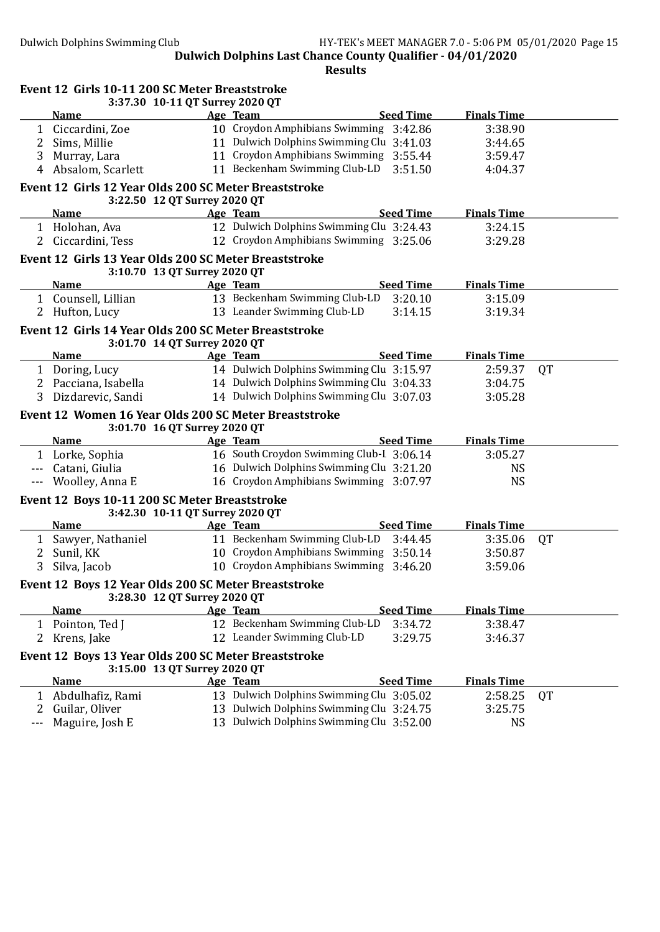|              | Event 12 Girls 10-11 200 SC Meter Breaststroke<br>3:37.30 10-11 QT Surrey 2020 QT     |                                          |                  |                    |           |
|--------------|---------------------------------------------------------------------------------------|------------------------------------------|------------------|--------------------|-----------|
|              | <u>Name</u>                                                                           | Age Team                                 | <b>Seed Time</b> | <b>Finals Time</b> |           |
|              | 1 Ciccardini, Zoe                                                                     | 10 Croydon Amphibians Swimming 3:42.86   |                  | 3:38.90            |           |
| 2            | Sims, Millie                                                                          | 11 Dulwich Dolphins Swimming Clu 3:41.03 |                  | 3:44.65            |           |
| 3            | Murray, Lara                                                                          | 11 Croydon Amphibians Swimming 3:55.44   |                  | 3:59.47            |           |
| 4            | Absalom, Scarlett                                                                     | 11 Beckenham Swimming Club-LD            | 3:51.50          | 4:04.37            |           |
|              | Event 12 Girls 12 Year Olds 200 SC Meter Breaststroke<br>3:22.50 12 QT Surrey 2020 QT |                                          |                  |                    |           |
|              | <b>Name</b>                                                                           | Age Team                                 | <b>Seed Time</b> | <b>Finals Time</b> |           |
|              | 1 Holohan, Ava                                                                        | 12 Dulwich Dolphins Swimming Clu 3:24.43 |                  | 3:24.15            |           |
| $\mathbf{2}$ | Ciccardini, Tess                                                                      | 12 Croydon Amphibians Swimming 3:25.06   |                  | 3:29.28            |           |
|              | Event 12 Girls 13 Year Olds 200 SC Meter Breaststroke<br>3:10.70 13 QT Surrey 2020 QT |                                          |                  |                    |           |
|              | <b>Name</b>                                                                           | Age Team                                 | <b>Seed Time</b> | <b>Finals Time</b> |           |
|              | 1 Counsell, Lillian                                                                   | 13 Beckenham Swimming Club-LD            | 3:20.10          | 3:15.09            |           |
| 2            | Hufton, Lucy                                                                          | 13 Leander Swimming Club-LD              | 3:14.15          | 3:19.34            |           |
|              | Event 12 Girls 14 Year Olds 200 SC Meter Breaststroke<br>3:01.70 14 QT Surrey 2020 QT |                                          |                  |                    |           |
|              | <b>Name</b>                                                                           | Age Team                                 | <b>Seed Time</b> | <b>Finals Time</b> |           |
|              | 1 Doring, Lucy                                                                        | 14 Dulwich Dolphins Swimming Clu 3:15.97 |                  | 2:59.37            | QT        |
|              | 2 Pacciana, Isabella                                                                  | 14 Dulwich Dolphins Swimming Clu 3:04.33 |                  | 3:04.75            |           |
| 3            | Dizdarevic, Sandi                                                                     | 14 Dulwich Dolphins Swimming Clu 3:07.03 |                  | 3:05.28            |           |
|              | Event 12 Women 16 Year Olds 200 SC Meter Breaststroke<br>3:01.70 16 QT Surrey 2020 QT |                                          |                  |                    |           |
|              | <b>Name</b>                                                                           | Age Team                                 | <b>Seed Time</b> | <b>Finals Time</b> |           |
|              | 1 Lorke, Sophia                                                                       | 16 South Croydon Swimming Club-I 3:06.14 |                  | 3:05.27            |           |
|              | Catani, Giulia                                                                        | 16 Dulwich Dolphins Swimming Clu 3:21.20 |                  | <b>NS</b>          |           |
|              | Woolley, Anna E                                                                       | 16 Croydon Amphibians Swimming 3:07.97   |                  | <b>NS</b>          |           |
|              | Event 12 Boys 10-11 200 SC Meter Breaststroke<br>3:42.30 10-11 QT Surrey 2020 QT      |                                          |                  |                    |           |
|              | <b>Name</b>                                                                           | Age Team                                 | <b>Seed Time</b> | <b>Finals Time</b> |           |
| 1            | Sawyer, Nathaniel                                                                     | 11 Beckenham Swimming Club-LD            | 3:44.45          | 3:35.06            | QT        |
| 2            | Sunil, KK                                                                             | 10 Croydon Amphibians Swimming 3:50.14   |                  | 3:50.87            |           |
| 3            | Silva, Jacob                                                                          | 10 Croydon Amphibians Swimming 3:46.20   |                  | 3:59.06            |           |
|              | Event 12 Boys 12 Year Olds 200 SC Meter Breaststroke<br>3:28.30 12 QT Surrey 2020 QT  |                                          |                  |                    |           |
|              | <b>Name</b>                                                                           | Age Team                                 | <b>Seed Time</b> | <b>Finals Time</b> |           |
| 1            | Pointon, Ted J                                                                        | 12 Beckenham Swimming Club-LD            | 3:34.72          | 3:38.47            |           |
| 2            | Krens, Jake                                                                           | 12 Leander Swimming Club-LD              | 3:29.75          | 3:46.37            |           |
|              | Event 12 Boys 13 Year Olds 200 SC Meter Breaststroke<br>3:15.00 13 QT Surrey 2020 QT  |                                          |                  |                    |           |
|              | <b>Name</b>                                                                           | Age Team                                 | <b>Seed Time</b> | <b>Finals Time</b> |           |
| 1            | Abdulhafiz, Rami                                                                      | 13 Dulwich Dolphins Swimming Clu 3:05.02 |                  | 2:58.25            | <b>QT</b> |
| 2            | Guilar, Oliver                                                                        | 13 Dulwich Dolphins Swimming Clu 3:24.75 |                  | 3:25.75            |           |
|              | Maguire, Josh E                                                                       | 13 Dulwich Dolphins Swimming Clu 3:52.00 |                  | <b>NS</b>          |           |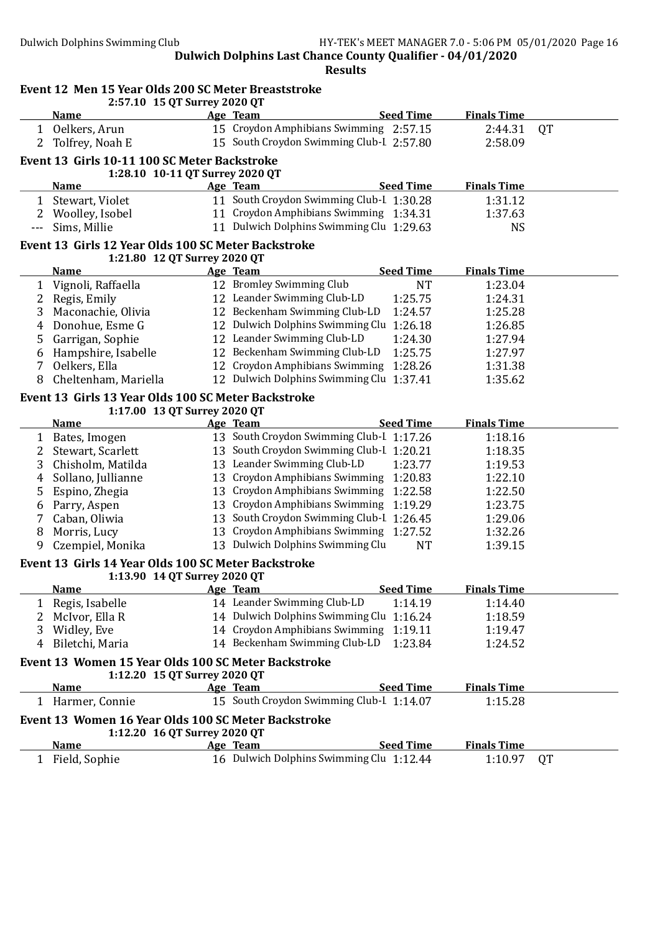|              | Event 12 Men 15 Year Olds 200 SC Meter Breaststroke<br>2:57.10 15 QT Surrey 2020 QT |  |                                                                                    |                    |           |  |  |
|--------------|-------------------------------------------------------------------------------------|--|------------------------------------------------------------------------------------|--------------------|-----------|--|--|
|              | <b>Name</b>                                                                         |  | <b>Seed Time</b><br>Age Team                                                       | <b>Finals Time</b> |           |  |  |
|              |                                                                                     |  | 15 Croydon Amphibians Swimming 2:57.15                                             | 2:44.31            | <b>QT</b> |  |  |
| $\mathbf{1}$ | Oelkers, Arun<br>2 Tolfrey, Noah E                                                  |  | 15 South Croydon Swimming Club-I 2:57.80                                           | 2:58.09            |           |  |  |
|              |                                                                                     |  |                                                                                    |                    |           |  |  |
|              | Event 13 Girls 10-11 100 SC Meter Backstroke                                        |  |                                                                                    |                    |           |  |  |
|              | 1:28.10 10-11 QT Surrey 2020 QT                                                     |  |                                                                                    |                    |           |  |  |
|              | <b>Name</b>                                                                         |  | <b>Seed Time</b><br>Age Team                                                       | <b>Finals Time</b> |           |  |  |
| 1            | Stewart, Violet                                                                     |  | 11 South Croydon Swimming Club-I 1:30.28                                           | 1:31.12            |           |  |  |
|              | 2 Woolley, Isobel                                                                   |  | 11 Croydon Amphibians Swimming 1:34.31<br>11 Dulwich Dolphins Swimming Clu 1:29.63 | 1:37.63            |           |  |  |
| ---          | Sims, Millie                                                                        |  |                                                                                    | <b>NS</b>          |           |  |  |
|              | Event 13 Girls 12 Year Olds 100 SC Meter Backstroke<br>1:21.80 12 QT Surrey 2020 QT |  |                                                                                    |                    |           |  |  |
|              | <b>Name</b>                                                                         |  | Age Team<br><b>Seed Time</b>                                                       | <b>Finals Time</b> |           |  |  |
|              | 1 Vignoli, Raffaella                                                                |  | 12 Bromley Swimming Club<br><b>NT</b>                                              | 1:23.04            |           |  |  |
|              | 2 Regis, Emily                                                                      |  | 12 Leander Swimming Club-LD<br>1:25.75                                             | 1:24.31            |           |  |  |
| 3            | Maconachie, Olivia                                                                  |  | 12 Beckenham Swimming Club-LD<br>1:24.57                                           | 1:25.28            |           |  |  |
| 4            | Donohue, Esme G                                                                     |  | 12 Dulwich Dolphins Swimming Clu 1:26.18                                           | 1:26.85            |           |  |  |
| 5.           | Garrigan, Sophie                                                                    |  | 12 Leander Swimming Club-LD<br>1:24.30                                             | 1:27.94            |           |  |  |
| 6            | Hampshire, Isabelle                                                                 |  | 12 Beckenham Swimming Club-LD<br>1:25.75                                           | 1:27.97            |           |  |  |
| 7            | Oelkers, Ella                                                                       |  | 12 Croydon Amphibians Swimming<br>1:28.26                                          | 1:31.38            |           |  |  |
| 8            | Cheltenham, Mariella                                                                |  | 12 Dulwich Dolphins Swimming Clu 1:37.41                                           | 1:35.62            |           |  |  |
|              |                                                                                     |  |                                                                                    |                    |           |  |  |
|              | Event 13 Girls 13 Year Olds 100 SC Meter Backstroke<br>1:17.00 13 QT Surrey 2020 QT |  |                                                                                    |                    |           |  |  |
|              | <b>Name</b>                                                                         |  | <b>Seed Time</b><br>Age Team                                                       | <b>Finals Time</b> |           |  |  |
|              | 1 Bates, Imogen                                                                     |  | 13 South Croydon Swimming Club-L 1:17.26                                           | 1:18.16            |           |  |  |
| 2            | Stewart, Scarlett                                                                   |  | 13 South Croydon Swimming Club-I 1:20.21                                           | 1:18.35            |           |  |  |
| 3            | Chisholm, Matilda                                                                   |  | 13 Leander Swimming Club-LD<br>1:23.77                                             | 1:19.53            |           |  |  |
| 4            | Sollano, Jullianne                                                                  |  | 13 Croydon Amphibians Swimming 1:20.83                                             | 1:22.10            |           |  |  |
| 5            | Espino, Zhegia                                                                      |  | 13 Croydon Amphibians Swimming 1:22.58                                             | 1:22.50            |           |  |  |
| 6            | Parry, Aspen                                                                        |  | 13 Croydon Amphibians Swimming 1:19.29                                             | 1:23.75            |           |  |  |
| 7            | Caban, Oliwia                                                                       |  | 13 South Croydon Swimming Club-I 1:26.45                                           | 1:29.06            |           |  |  |
| 8            | Morris, Lucy                                                                        |  | 13 Croydon Amphibians Swimming 1:27.52                                             | 1:32.26            |           |  |  |
| 9            | Czempiel, Monika                                                                    |  | 13 Dulwich Dolphins Swimming Clu<br><b>NT</b>                                      | 1:39.15            |           |  |  |
|              | Event 13 Girls 14 Year Olds 100 SC Meter Backstroke                                 |  |                                                                                    |                    |           |  |  |
|              | 1:13.90 14 QT Surrey 2020 QT                                                        |  |                                                                                    |                    |           |  |  |
|              | <b>Name</b>                                                                         |  | <b>Seed Time</b><br>Age Team                                                       | <b>Finals Time</b> |           |  |  |
| 1            | Regis, Isabelle                                                                     |  | 14 Leander Swimming Club-LD<br>1:14.19                                             | 1:14.40            |           |  |  |
|              | 2 McIvor, Ella R                                                                    |  | 14 Dulwich Dolphins Swimming Clu 1:16.24                                           | 1:18.59            |           |  |  |
| 3            | Widley, Eve                                                                         |  | 14 Croydon Amphibians Swimming<br>1:19.11                                          | 1:19.47            |           |  |  |
| 4            | Biletchi, Maria                                                                     |  | 14 Beckenham Swimming Club-LD<br>1:23.84                                           | 1:24.52            |           |  |  |
|              | Event 13 Women 15 Year Olds 100 SC Meter Backstroke                                 |  |                                                                                    |                    |           |  |  |
|              | 1:12.20 15 QT Surrey 2020 QT                                                        |  |                                                                                    |                    |           |  |  |
|              | <b>Name</b>                                                                         |  | <b>Seed Time</b><br>Age Team                                                       | <b>Finals Time</b> |           |  |  |
|              | 1 Harmer, Connie                                                                    |  | 15 South Croydon Swimming Club-I 1:14.07                                           | 1:15.28            |           |  |  |
|              | Event 13 Women 16 Year Olds 100 SC Meter Backstroke                                 |  |                                                                                    |                    |           |  |  |
|              | 1:12.20 16 QT Surrey 2020 QT                                                        |  |                                                                                    |                    |           |  |  |
|              | <b>Name</b>                                                                         |  | <b>Seed Time</b><br>Age Team                                                       | <b>Finals Time</b> |           |  |  |
| $\mathbf{1}$ | Field, Sophie                                                                       |  | 16 Dulwich Dolphins Swimming Clu 1:12.44                                           | 1:10.97            | QT        |  |  |
|              |                                                                                     |  |                                                                                    |                    |           |  |  |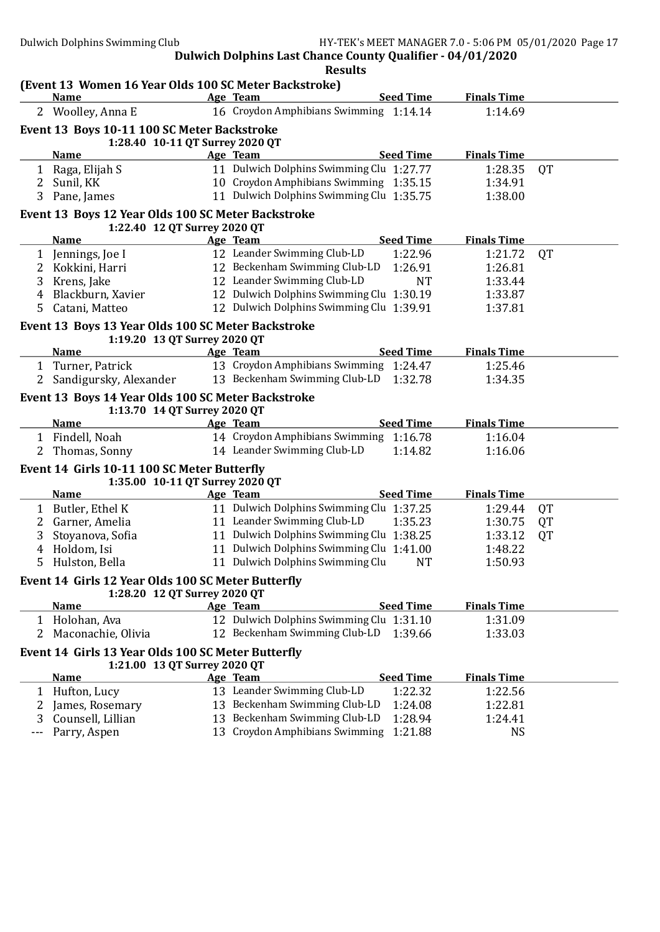|                | (Event 13 Women 16 Year Olds 100 SC Meter Backstroke)                              |                                                      |                    |           |
|----------------|------------------------------------------------------------------------------------|------------------------------------------------------|--------------------|-----------|
|                | <b>Name</b>                                                                        | <b>Seed Time</b><br>Age Team                         | <b>Finals Time</b> |           |
|                | 2 Woolley, Anna E                                                                  | 16 Croydon Amphibians Swimming 1:14.14               | 1:14.69            |           |
|                | Event 13 Boys 10-11 100 SC Meter Backstroke                                        |                                                      |                    |           |
|                | 1:28.40 10-11 QT Surrey 2020 QT                                                    |                                                      |                    |           |
|                | <b>Name</b>                                                                        | <b>Seed Time</b><br>Age Team                         | <b>Finals Time</b> |           |
|                | 1 Raga, Elijah S                                                                   | 11 Dulwich Dolphins Swimming Clu 1:27.77             | 1:28.35            | <b>QT</b> |
| $\mathbf{2}$   | Sunil, KK                                                                          | 10 Croydon Amphibians Swimming 1:35.15               | 1:34.91            |           |
|                | 3 Pane, James                                                                      | 11 Dulwich Dolphins Swimming Clu 1:35.75             | 1:38.00            |           |
|                | Event 13 Boys 12 Year Olds 100 SC Meter Backstroke                                 |                                                      |                    |           |
|                | 1:22.40 12 QT Surrey 2020 QT                                                       |                                                      |                    |           |
|                | <b>Name</b>                                                                        | <b>Seed Time</b><br>Age Team                         | <b>Finals Time</b> |           |
|                | 1 Jennings, Joe I                                                                  | 12 Leander Swimming Club-LD<br>1:22.96               | 1:21.72            | QT        |
| 2              | Kokkini, Harri                                                                     | 12 Beckenham Swimming Club-LD<br>1:26.91             | 1:26.81            |           |
| 3              | Krens, Jake                                                                        | 12 Leander Swimming Club-LD<br><b>NT</b>             | 1:33.44            |           |
| 4              | Blackburn, Xavier                                                                  | 12 Dulwich Dolphins Swimming Clu 1:30.19             | 1:33.87            |           |
| 5              | Catani, Matteo                                                                     | 12 Dulwich Dolphins Swimming Clu 1:39.91             | 1:37.81            |           |
|                | Event 13 Boys 13 Year Olds 100 SC Meter Backstroke                                 |                                                      |                    |           |
|                | 1:19.20 13 QT Surrey 2020 QT                                                       |                                                      |                    |           |
|                | <b>Name</b>                                                                        | <b>Seed Time</b><br>Age Team                         | <b>Finals Time</b> |           |
|                | 1 Turner, Patrick                                                                  | 13 Croydon Amphibians Swimming 1:24.47               | 1:25.46            |           |
| $\overline{2}$ | Sandigursky, Alexander                                                             | 13 Beckenham Swimming Club-LD<br>1:32.78             | 1:34.35            |           |
|                | Event 13 Boys 14 Year Olds 100 SC Meter Backstroke                                 |                                                      |                    |           |
|                | 1:13.70 14 QT Surrey 2020 QT                                                       |                                                      |                    |           |
|                | <b>Name</b>                                                                        | <b>Seed Time</b><br>Age Team                         | <b>Finals Time</b> |           |
|                | 1 Findell, Noah                                                                    | 14 Croydon Amphibians Swimming 1:16.78               | 1:16.04            |           |
| 2              | Thomas, Sonny                                                                      | 14 Leander Swimming Club-LD<br>1:14.82               | 1:16.06            |           |
|                | Event 14 Girls 10-11 100 SC Meter Butterfly                                        |                                                      |                    |           |
|                | 1:35.00 10-11 QT Surrey 2020 QT                                                    |                                                      |                    |           |
|                | <b>Name</b>                                                                        | <b>Seed Time</b><br>Age Team                         | <b>Finals Time</b> |           |
|                | 1 Butler, Ethel K                                                                  | 11 Dulwich Dolphins Swimming Clu 1:37.25             | 1:29.44            | QT        |
| $\overline{2}$ | Garner, Amelia                                                                     | 11 Leander Swimming Club-LD<br>1:35.23               | 1:30.75            | QT        |
| 3              | Stoyanova, Sofia                                                                   | 11 Dulwich Dolphins Swimming Clu 1:38.25             | 1:33.12            | QT        |
| 4              | Holdom, Isi                                                                        | 11 Dulwich Dolphins Swimming Clu 1:41.00             | 1:48.22            |           |
| 5              | Hulston, Bella                                                                     | 11 Dulwich Dolphins Swimming Clu<br><b>NT</b>        | 1:50.93            |           |
|                |                                                                                    |                                                      |                    |           |
|                | Event 14 Girls 12 Year Olds 100 SC Meter Butterfly<br>1:28.20 12 QT Surrey 2020 QT |                                                      |                    |           |
|                | <b>Name</b>                                                                        | <b>Seed Time</b>                                     | <b>Finals Time</b> |           |
|                |                                                                                    | Age Team<br>12 Dulwich Dolphins Swimming Clu 1:31.10 |                    |           |
|                | 1 Holohan, Ava                                                                     | 12 Beckenham Swimming Club-LD                        | 1:31.09            |           |
| 2              | Maconachie, Olivia                                                                 | 1:39.66                                              | 1:33.03            |           |
|                | Event 14 Girls 13 Year Olds 100 SC Meter Butterfly                                 |                                                      |                    |           |
|                | 1:21.00 13 QT Surrey 2020 QT<br><b>Name</b>                                        | <b>Seed Time</b><br>Age Team                         | <b>Finals Time</b> |           |
|                |                                                                                    | 13 Leander Swimming Club-LD                          |                    |           |
| 1              | Hufton, Lucy                                                                       | 1:22.32                                              | 1:22.56            |           |
|                | James, Rosemary                                                                    | 13 Beckenham Swimming Club-LD<br>1:24.08             | 1:22.81            |           |
| 3              | Counsell, Lillian                                                                  | 13 Beckenham Swimming Club-LD<br>1:28.94             | 1:24.41            |           |
| ---            | Parry, Aspen                                                                       | 13 Croydon Amphibians Swimming<br>1:21.88            | <b>NS</b>          |           |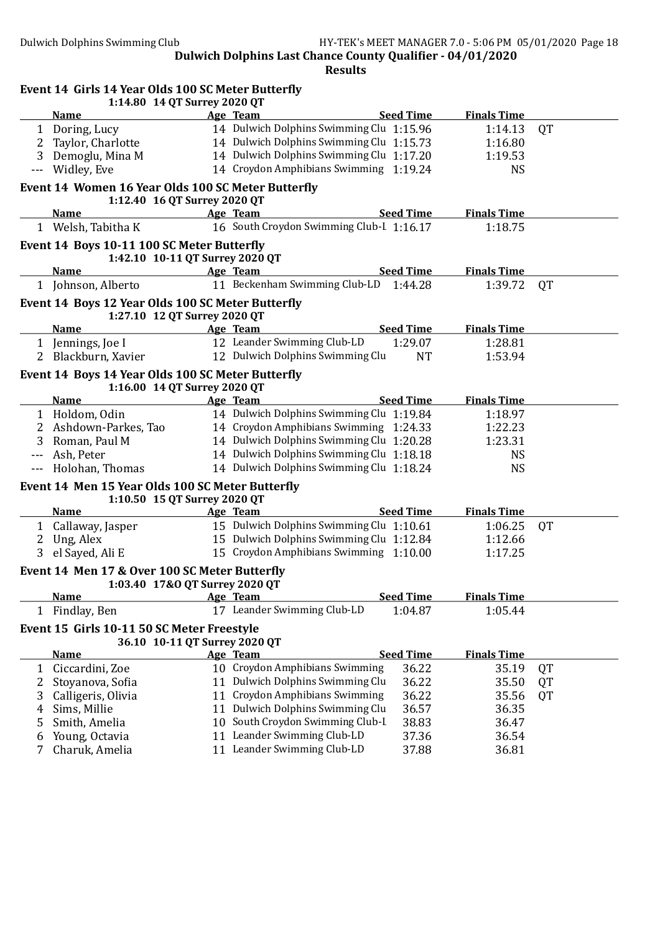|                | Event 14 Girls 14 Year Olds 100 SC Meter Butterfly<br>1:14.80 14 QT Surrey 2020 QT |                                          |                  |                    |           |
|----------------|------------------------------------------------------------------------------------|------------------------------------------|------------------|--------------------|-----------|
|                | <b>Name</b>                                                                        | Age Team                                 | <b>Seed Time</b> | <b>Finals Time</b> |           |
|                | 1 Doring, Lucy                                                                     | 14 Dulwich Dolphins Swimming Clu 1:15.96 |                  | 1:14.13            | <b>QT</b> |
| 2              | Taylor, Charlotte                                                                  | 14 Dulwich Dolphins Swimming Clu 1:15.73 |                  | 1:16.80            |           |
| 3              | Demoglu, Mina M                                                                    | 14 Dulwich Dolphins Swimming Clu 1:17.20 |                  | 1:19.53            |           |
| ---            | Widley, Eve                                                                        | 14 Croydon Amphibians Swimming 1:19.24   |                  | <b>NS</b>          |           |
|                | Event 14 Women 16 Year Olds 100 SC Meter Butterfly<br>1:12.40 16 QT Surrey 2020 QT |                                          |                  |                    |           |
|                | <b>Name</b>                                                                        | Age Team                                 | <b>Seed Time</b> | <b>Finals Time</b> |           |
|                | 1 Welsh, Tabitha K                                                                 | 16 South Croydon Swimming Club-I 1:16.17 |                  | 1:18.75            |           |
|                | Event 14 Boys 10-11 100 SC Meter Butterfly                                         |                                          |                  |                    |           |
|                | 1:42.10 10-11 QT Surrey 2020 QT                                                    |                                          |                  |                    |           |
|                | <b>Name</b>                                                                        | Age Team                                 | <b>Seed Time</b> | <b>Finals Time</b> |           |
|                | 1 Johnson, Alberto                                                                 | 11 Beckenham Swimming Club-LD            | 1:44.28          | 1:39.72            | <b>QT</b> |
|                | Event 14 Boys 12 Year Olds 100 SC Meter Butterfly<br>1:27.10 12 QT Surrey 2020 QT  |                                          |                  |                    |           |
|                | <b>Name</b>                                                                        | Age Team                                 | <b>Seed Time</b> | <b>Finals Time</b> |           |
|                | 1 Jennings, Joe I                                                                  | 12 Leander Swimming Club-LD              | 1:29.07          | 1:28.81            |           |
|                | 2 Blackburn, Xavier                                                                | 12 Dulwich Dolphins Swimming Clu         | <b>NT</b>        | 1:53.94            |           |
|                | Event 14 Boys 14 Year Olds 100 SC Meter Butterfly<br>1:16.00 14 QT Surrey 2020 QT  |                                          |                  |                    |           |
|                | <b>Name</b><br><u> The Communication</u>                                           | Age Team                                 | <b>Seed Time</b> | <b>Finals Time</b> |           |
|                | 1 Holdom, Odin                                                                     | 14 Dulwich Dolphins Swimming Clu 1:19.84 |                  | 1:18.97            |           |
|                | 2 Ashdown-Parkes, Tao                                                              | 14 Croydon Amphibians Swimming 1:24.33   |                  | 1:22.23            |           |
| 3              | Roman, Paul M                                                                      | 14 Dulwich Dolphins Swimming Clu 1:20.28 |                  | 1:23.31            |           |
|                | Ash, Peter                                                                         | 14 Dulwich Dolphins Swimming Clu 1:18.18 |                  | <b>NS</b>          |           |
|                | Holohan, Thomas                                                                    | 14 Dulwich Dolphins Swimming Clu 1:18.24 |                  | <b>NS</b>          |           |
|                | Event 14 Men 15 Year Olds 100 SC Meter Butterfly<br>1:10.50 15 QT Surrey 2020 QT   |                                          |                  |                    |           |
|                | <b>Name</b>                                                                        | Age Team                                 | <b>Seed Time</b> | <b>Finals Time</b> |           |
|                | 1 Callaway, Jasper                                                                 | 15 Dulwich Dolphins Swimming Clu 1:10.61 |                  | 1:06.25            | QT        |
| $\mathbf{2}$   | Ung, Alex                                                                          | 15 Dulwich Dolphins Swimming Clu 1:12.84 |                  | 1:12.66            |           |
| 3 <sup>1</sup> | el Sayed, Ali E                                                                    | 15 Croydon Amphibians Swimming 1:10.00   |                  | 1:17.25            |           |
|                | Event 14 Men 17 & Over 100 SC Meter Butterfly<br>1:03.40 17&O QT Surrey 2020 QT    |                                          |                  |                    |           |
|                | <b>Name</b>                                                                        | Age Team                                 | <b>Seed Time</b> | <b>Finals Time</b> |           |
| $\mathbf{1}$   | Findlay, Ben                                                                       | 17 Leander Swimming Club-LD              | 1:04.87          | 1:05.44            |           |
|                | Event 15 Girls 10-11 50 SC Meter Freestyle<br>36.10 10-11 QT Surrey 2020 QT        |                                          |                  |                    |           |
|                | <b>Name</b>                                                                        | Age Team                                 | <b>Seed Time</b> | <b>Finals Time</b> |           |
| $\mathbf{1}$   | Ciccardini, Zoe                                                                    | 10 Croydon Amphibians Swimming           | 36.22            | 35.19              | QT        |
| 2              | Stoyanova, Sofia                                                                   | 11 Dulwich Dolphins Swimming Clu         | 36.22            | 35.50              | <b>QT</b> |
| 3              | Calligeris, Olivia                                                                 | 11 Croydon Amphibians Swimming           | 36.22            | 35.56              | QT        |
| 4              | Sims, Millie                                                                       | 11 Dulwich Dolphins Swimming Clu         | 36.57            | 36.35              |           |
| 5              | Smith, Amelia                                                                      | 10 South Croydon Swimming Club-I         | 38.83            | 36.47              |           |
| 6              | Young, Octavia                                                                     | 11 Leander Swimming Club-LD              | 37.36            | 36.54              |           |
| 7              | Charuk, Amelia                                                                     | 11 Leander Swimming Club-LD              | 37.88            | 36.81              |           |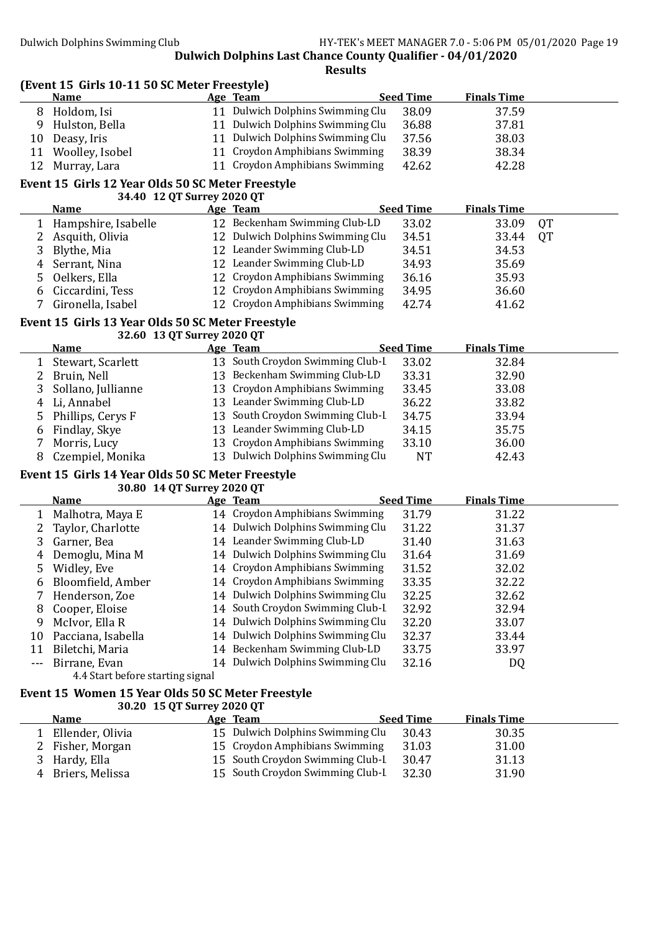(Event 15 Girls 10-11 50 SC Meter Freestyle)

|              | <b>Name</b>                                       | Age Team                         | <b>Seed Time</b> | <b>Finals Time</b> |    |
|--------------|---------------------------------------------------|----------------------------------|------------------|--------------------|----|
|              | 8 Holdom, Isi                                     | 11 Dulwich Dolphins Swimming Clu | 38.09            | 37.59              |    |
| 9            | Hulston, Bella                                    | 11 Dulwich Dolphins Swimming Clu | 36.88            | 37.81              |    |
| 10           | Deasy, Iris                                       | 11 Dulwich Dolphins Swimming Clu | 37.56            | 38.03              |    |
| 11           | Woolley, Isobel                                   | 11 Croydon Amphibians Swimming   | 38.39            | 38.34              |    |
| 12           | Murray, Lara                                      | 11 Croydon Amphibians Swimming   | 42.62            | 42.28              |    |
|              | Event 15 Girls 12 Year Olds 50 SC Meter Freestyle |                                  |                  |                    |    |
|              | 34.40 12 QT Surrey 2020 QT                        |                                  |                  |                    |    |
|              | <b>Name</b>                                       | Age Team                         | <b>Seed Time</b> | <b>Finals Time</b> |    |
| 1            | Hampshire, Isabelle                               | 12 Beckenham Swimming Club-LD    | 33.02            | 33.09              | QT |
| 2            | Asquith, Olivia                                   | 12 Dulwich Dolphins Swimming Clu | 34.51            | 33.44              | QT |
| 3            | Blythe, Mia                                       | 12 Leander Swimming Club-LD      | 34.51            | 34.53              |    |
| 4            | Serrant, Nina                                     | 12 Leander Swimming Club-LD      | 34.93            | 35.69              |    |
| 5            | Oelkers, Ella                                     | 12 Croydon Amphibians Swimming   | 36.16            | 35.93              |    |
| 6            | Ciccardini, Tess                                  | 12 Croydon Amphibians Swimming   | 34.95            | 36.60              |    |
| 7            | Gironella, Isabel                                 | 12 Croydon Amphibians Swimming   | 42.74            | 41.62              |    |
|              |                                                   |                                  |                  |                    |    |
|              | Event 15 Girls 13 Year Olds 50 SC Meter Freestyle |                                  |                  |                    |    |
|              | 32.60 13 QT Surrey 2020 QT                        |                                  |                  |                    |    |
|              | <b>Name</b>                                       | Age Team                         | <b>Seed Time</b> | <b>Finals Time</b> |    |
| $\mathbf{1}$ | Stewart, Scarlett                                 | 13 South Croydon Swimming Club-I | 33.02            | 32.84              |    |
| 2            | Bruin, Nell                                       | 13 Beckenham Swimming Club-LD    | 33.31            | 32.90              |    |
| 3            | Sollano, Jullianne                                | 13 Croydon Amphibians Swimming   | 33.45            | 33.08              |    |
| 4            | Li, Annabel                                       | 13 Leander Swimming Club-LD      | 36.22            | 33.82              |    |
| 5            | Phillips, Cerys F                                 | 13 South Croydon Swimming Club-I | 34.75            | 33.94              |    |
| 6            | Findlay, Skye                                     | 13 Leander Swimming Club-LD      | 34.15            | 35.75              |    |
| 7            | Morris, Lucy                                      | 13 Croydon Amphibians Swimming   | 33.10            | 36.00              |    |
| 8            | Czempiel, Monika                                  | 13 Dulwich Dolphins Swimming Clu | <b>NT</b>        | 42.43              |    |
|              | Event 15 Girls 14 Year Olds 50 SC Meter Freestyle |                                  |                  |                    |    |
|              | 30.80 14 QT Surrey 2020 QT                        |                                  |                  |                    |    |
|              | <b>Name</b>                                       | Age Team                         | <b>Seed Time</b> | <b>Finals Time</b> |    |
| 1            | Malhotra, Maya E                                  | 14 Croydon Amphibians Swimming   | 31.79            | 31.22              |    |
| 2            | Taylor, Charlotte                                 | 14 Dulwich Dolphins Swimming Clu | 31.22            | 31.37              |    |
| 3            | Garner, Bea                                       | 14 Leander Swimming Club-LD      | 31.40            | 31.63              |    |
| 4            | Demoglu, Mina M                                   | 14 Dulwich Dolphins Swimming Clu | 31.64            | 31.69              |    |
| 5            | Widley, Eve                                       | 14 Croydon Amphibians Swimming   | 31.52            | 32.02              |    |
| 6            | Bloomfield, Amber                                 | 14 Croydon Amphibians Swimming   | 33.35            | 32.22              |    |
| 7            | Henderson, Zoe                                    | 14 Dulwich Dolphins Swimming Clu | 32.25            | 32.62              |    |
| 8            | Cooper, Eloise                                    | 14 South Croydon Swimming Club-I | 32.92            | 32.94              |    |
| 9            | McIvor, Ella R                                    | 14 Dulwich Dolphins Swimming Clu | 32.20            | 33.07              |    |
| 10           | Pacciana, Isabella                                | 14 Dulwich Dolphins Swimming Clu | 32.37            | 33.44              |    |
| 11           | Biletchi, Maria                                   | 14 Beckenham Swimming Club-LD    | 33.75            | 33.97              |    |
| $ -$         | Birrane, Evan                                     | 14 Dulwich Dolphins Swimming Clu | 32.16            | DQ                 |    |
|              | 4.4 Start before starting signal                  |                                  |                  |                    |    |
|              | Event 15 Women 15 Year Olds 50 SC Meter Freestyle |                                  |                  |                    |    |
|              | 30.20 15 QT Surrey 2020 QT                        |                                  |                  |                    |    |
|              | <b>Name</b>                                       | Age Team                         | <b>Seed Time</b> | <b>Finals Time</b> |    |
|              | Ellender, Olivia                                  | 15 Dulwich Dolphins Swimming Clu | 30.43            | 30.35              |    |
| 2            | Fisher, Morgan                                    | 15 Croydon Amphibians Swimming   | 31.03            | 31.00              |    |
| 3            | Hardy, Ella                                       | 15 South Croydon Swimming Club-I | 30.47            | 31.13              |    |
| 4            | Briers, Melissa                                   | 15 South Croydon Swimming Club-I | 32.30            | 31.90              |    |
|              |                                                   |                                  |                  |                    |    |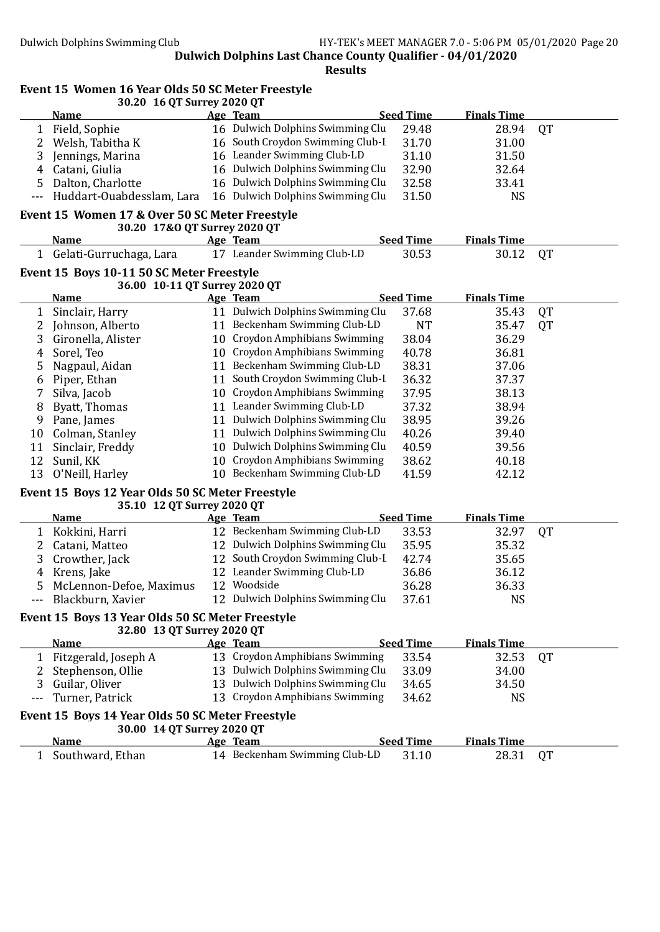Event 15 Women 16 Year Olds 50 SC Meter Freestyle

Dulwich Dolphins Last Chance County Qualifier - 04/01/2020 Results

30.20 16 QT Surrey 2020 QT Name Age Team Seed Time Finals Time 1 Field, Sophie 16 Dulwich Dolphins Swimming Clu 29.48 28.94 OT 2 Welsh, Tabitha K 16 South Croydon Swimming Club-L 31.70 31.00 3 Jennings, Marina 16 Leander Swimming Club-LD 31.10 31.50 4 Catani, Giulia 16 Dulwich Dolphins Swimming Clu 32.90 32.64 5 Dalton, Charlotte 16 Dulwich Dolphins Swimming Clu 32.58 33.41<br>-- Huddart-Ouabdesslam. Lara 16 Dulwich Dolphins Swimming Clu 31.50 NS Huddart-Ouabdesslam, Lara 16 Dulwich Dolphins Swimming Clu 31.50 NS Event 15 Women 17 & Over 50 SC Meter Freestyle 30.20 17&O QT Surrey 2020 QT Name Age Team Seed Time Finals Time 1 Gelati-Gurruchaga, Lara 17 Leander Swimming Club-LD 30.53 30.12 QT Event 15 Boys 10-11 50 SC Meter Freestyle 36.00 10-11 QT Surrey 2020 QT Name Age Team Seed Time Finals Time 1 Sinclair, Harry 11 Dulwich Dolphins Swimming Clu 37.68 35.43 OT 2 Johnson, Alberto 11 Beckenham Swimming Club-LD NT 35.47 QT<br>3 Gironella, Alister 10 Croydon Amphibians Swimming 38.04 36.29 3 Gironella, Alister 10 Croydon Amphibians Swimming 38.04 36.29 4 Sorel, Teo 10 Croydon Amphibians Swimming 40.78 36.81 5 Nagpaul, Aidan 11 Beckenham Swimming Club-LD 38.31 37.06 6 Piper, Ethan 11 South Croydon Swimming Club-L 36.32 37.37 7 Silva, Jacob 10 Croydon Amphibians Swimming 37.95 38.13 8 Byatt, Thomas 11 Leander Swimming Club-LD 37.32 38.94 9 Pane, James 11 Dulwich Dolphins Swimming Clu 38.95 39.26 10 Colman, Stanley 11 Dulwich Dolphins Swimming Clu 40.26 39.40 11 Sinclair, Freddy 10 Dulwich Dolphins Swimming Clu 40.59 39.56 12 Sunil, KK 10 Croydon Amphibians Swimming 38.62 40.18 13 O'Neill, Harley 10 Beckenham Swimming Club-LD 41.59 42.12 Event 15 Boys 12 Year Olds 50 SC Meter Freestyle 35.10 12 QT Surrey 2020 QT Name Age Team Seed Time Finals Time 1 Kokkini, Harri 12 Beckenham Swimming Club-LD 33.53 32.97 QT 2 Catani, Matteo 12 Dulwich Dolphins Swimming Clu 35.95 35.32 3 Crowther, Jack 12 South Croydon Swimming Club-L 42.74 35.65 4 Krens, Jake 12 Leander Swimming Club-LD 36.86 36.12 5 McLennon-Defoe, Maximus 12 Woodside 36.28 36.33 Blackburn, Xavier 12 Dulwich Dolphins Swimming Clu 37.61 NS Event 15 Boys 13 Year Olds 50 SC Meter Freestyle 32.80 13 QT Surrey 2020 QT Name Age Team Seed Time Finals Time 1 Fitzgerald, Joseph A 13 Croydon Amphibians Swimming 33.54 32.53 OT 2 Stephenson, Ollie 13 Dulwich Dolphins Swimming Clu 33.09 34.00 3 Guilar, Oliver 13 Dulwich Dolphins Swimming Clu 34.65 34.50 --- Turner, Patrick 13 Croydon Amphibians Swimming 34.62 NS Event 15 Boys 14 Year Olds 50 SC Meter Freestyle 30.00 14 QT Surrey 2020 QT Name Age Team Seed Time Finals Time 1 Southward, Ethan 14 Beckenham Swimming Club-LD 31.10 28.31 QT